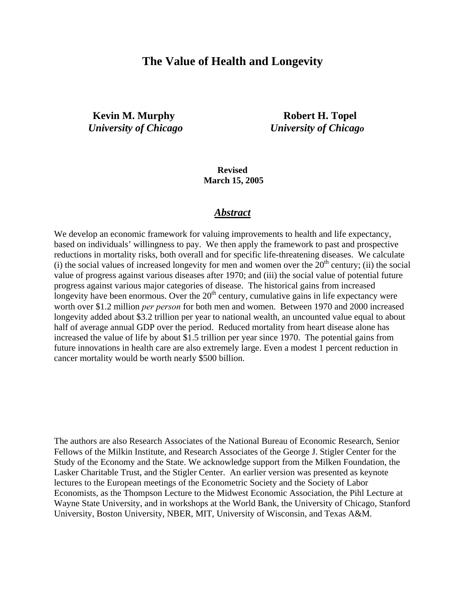## **The Value of Health and Longevity**

**Example 18 Kevin M. Murphy Robert H. Topel** *University of Chicago University of Chicago* 

**Revised March 15, 2005** 

#### *Abstract*

We develop an economic framework for valuing improvements to health and life expectancy, based on individuals' willingness to pay. We then apply the framework to past and prospective reductions in mortality risks, both overall and for specific life-threatening diseases. We calculate (i) the social values of increased longevity for men and women over the  $20<sup>th</sup>$  century; (ii) the social value of progress against various diseases after 1970; and (iii) the social value of potential future progress against various major categories of disease. The historical gains from increased longevity have been enormous. Over the  $20<sup>th</sup>$  century, cumulative gains in life expectancy were worth over \$1.2 million *per person* for both men and women. Between 1970 and 2000 increased longevity added about \$3.2 trillion per year to national wealth, an uncounted value equal to about half of average annual GDP over the period. Reduced mortality from heart disease alone has increased the value of life by about \$1.5 trillion per year since 1970. The potential gains from future innovations in health care are also extremely large. Even a modest 1 percent reduction in cancer mortality would be worth nearly \$500 billion.

The authors are also Research Associates of the National Bureau of Economic Research, Senior Fellows of the Milkin Institute, and Research Associates of the George J. Stigler Center for the Study of the Economy and the State. We acknowledge support from the Milken Foundation, the Lasker Charitable Trust, and the Stigler Center. An earlier version was presented as keynote lectures to the European meetings of the Econometric Society and the Society of Labor Economists, as the Thompson Lecture to the Midwest Economic Association, the Pihl Lecture at Wayne State University, and in workshops at the World Bank, the University of Chicago, Stanford University, Boston University, NBER, MIT, University of Wisconsin, and Texas A&M.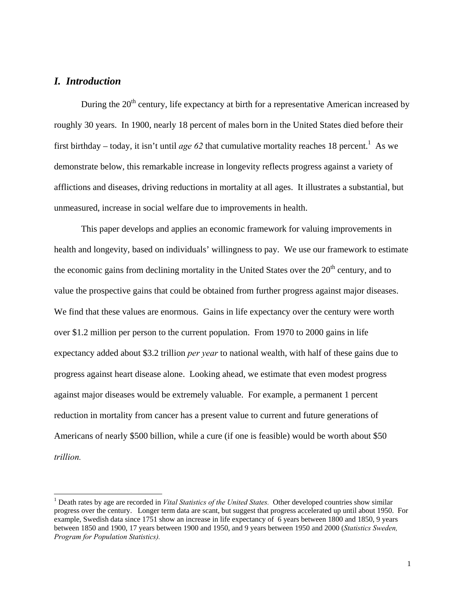#### *I. Introduction*

 $\overline{a}$ 

During the  $20<sup>th</sup>$  century, life expectancy at birth for a representative American increased by roughly 30 years. In 1900, nearly 18 percent of males born in the United States died before their first birthday – today, it isn't until *age* 62 that cumulative mortality reaches 18 percent.<sup>1</sup> As we demonstrate below, this remarkable increase in longevity reflects progress against a variety of afflictions and diseases, driving reductions in mortality at all ages. It illustrates a substantial, but unmeasured, increase in social welfare due to improvements in health.

This paper develops and applies an economic framework for valuing improvements in health and longevity, based on individuals' willingness to pay. We use our framework to estimate the economic gains from declining mortality in the United States over the  $20<sup>th</sup>$  century, and to value the prospective gains that could be obtained from further progress against major diseases. We find that these values are enormous. Gains in life expectancy over the century were worth over \$1.2 million per person to the current population. From 1970 to 2000 gains in life expectancy added about \$3.2 trillion *per year* to national wealth, with half of these gains due to progress against heart disease alone. Looking ahead, we estimate that even modest progress against major diseases would be extremely valuable. For example, a permanent 1 percent reduction in mortality from cancer has a present value to current and future generations of Americans of nearly \$500 billion, while a cure (if one is feasible) would be worth about \$50 *trillion.*

<sup>&</sup>lt;sup>1</sup> Death rates by age are recorded in *Vital Statistics of the United States*. Other developed countries show similar progress over the century. Longer term data are scant, but suggest that progress accelerated up until about 1950. For example, Swedish data since 1751 show an increase in life expectancy of 6 years between 1800 and 1850, 9 years between 1850 and 1900, 17 years between 1900 and 1950, and 9 years between 1950 and 2000 (*Statistics Sweden, Program for Population Statistics).*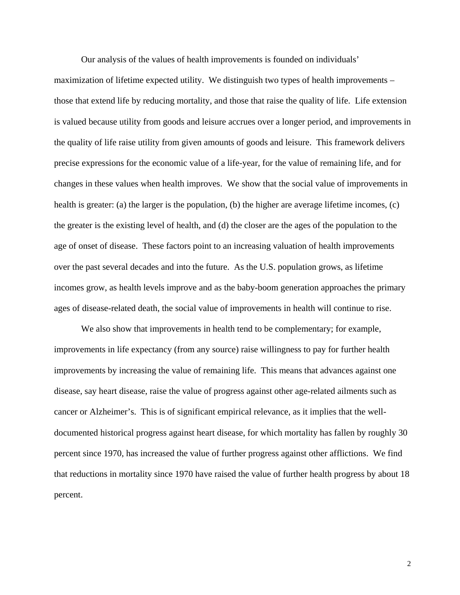Our analysis of the values of health improvements is founded on individuals'

maximization of lifetime expected utility. We distinguish two types of health improvements – those that extend life by reducing mortality, and those that raise the quality of life. Life extension is valued because utility from goods and leisure accrues over a longer period, and improvements in the quality of life raise utility from given amounts of goods and leisure. This framework delivers precise expressions for the economic value of a life-year, for the value of remaining life, and for changes in these values when health improves. We show that the social value of improvements in health is greater: (a) the larger is the population, (b) the higher are average lifetime incomes, (c) the greater is the existing level of health, and (d) the closer are the ages of the population to the age of onset of disease. These factors point to an increasing valuation of health improvements over the past several decades and into the future. As the U.S. population grows, as lifetime incomes grow, as health levels improve and as the baby-boom generation approaches the primary ages of disease-related death, the social value of improvements in health will continue to rise.

We also show that improvements in health tend to be complementary; for example, improvements in life expectancy (from any source) raise willingness to pay for further health improvements by increasing the value of remaining life. This means that advances against one disease, say heart disease, raise the value of progress against other age-related ailments such as cancer or Alzheimer's. This is of significant empirical relevance, as it implies that the welldocumented historical progress against heart disease, for which mortality has fallen by roughly 30 percent since 1970, has increased the value of further progress against other afflictions. We find that reductions in mortality since 1970 have raised the value of further health progress by about 18 percent.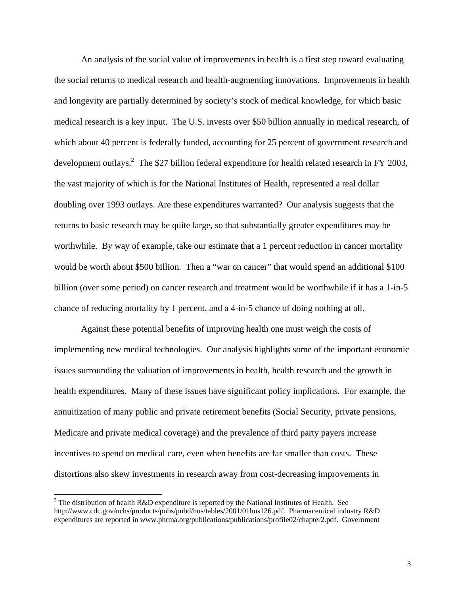An analysis of the social value of improvements in health is a first step toward evaluating the social returns to medical research and health-augmenting innovations. Improvements in health and longevity are partially determined by society's stock of medical knowledge, for which basic medical research is a key input. The U.S. invests over \$50 billion annually in medical research, of which about 40 percent is federally funded, accounting for 25 percent of government research and development outlays.<sup>2</sup> The \$27 billion federal expenditure for health related research in FY 2003, the vast majority of which is for the National Institutes of Health, represented a real dollar doubling over 1993 outlays. Are these expenditures warranted? Our analysis suggests that the returns to basic research may be quite large, so that substantially greater expenditures may be worthwhile. By way of example, take our estimate that a 1 percent reduction in cancer mortality would be worth about \$500 billion. Then a "war on cancer" that would spend an additional \$100 billion (over some period) on cancer research and treatment would be worthwhile if it has a 1-in-5 chance of reducing mortality by 1 percent, and a 4-in-5 chance of doing nothing at all.

 Against these potential benefits of improving health one must weigh the costs of implementing new medical technologies. Our analysis highlights some of the important economic issues surrounding the valuation of improvements in health, health research and the growth in health expenditures. Many of these issues have significant policy implications. For example, the annuitization of many public and private retirement benefits (Social Security, private pensions, Medicare and private medical coverage) and the prevalence of third party payers increase incentives to spend on medical care, even when benefits are far smaller than costs. These distortions also skew investments in research away from cost-decreasing improvements in

<sup>&</sup>lt;sup>2</sup> The distribution of health R&D expenditure is reported by the National Institutes of Health. See http://www.cdc.gov/nchs/products/pubs/pubd/hus/tables/2001/01hus126.pdf. Pharmaceutical industry R&D expenditures are reported in www.phrma.org/publications/publications/profile02/chapter2.pdf. Government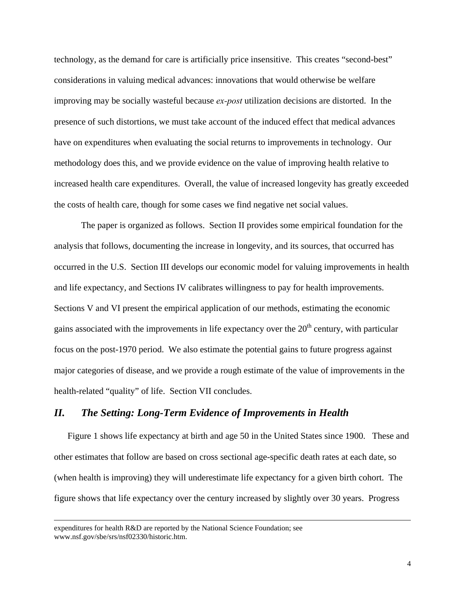technology, as the demand for care is artificially price insensitive. This creates "second-best" considerations in valuing medical advances: innovations that would otherwise be welfare improving may be socially wasteful because *ex-post* utilization decisions are distorted. In the presence of such distortions, we must take account of the induced effect that medical advances have on expenditures when evaluating the social returns to improvements in technology. Our methodology does this, and we provide evidence on the value of improving health relative to increased health care expenditures. Overall, the value of increased longevity has greatly exceeded the costs of health care, though for some cases we find negative net social values.

 The paper is organized as follows. Section II provides some empirical foundation for the analysis that follows, documenting the increase in longevity, and its sources, that occurred has occurred in the U.S. Section III develops our economic model for valuing improvements in health and life expectancy, and Sections IV calibrates willingness to pay for health improvements. Sections V and VI present the empirical application of our methods, estimating the economic gains associated with the improvements in life expectancy over the  $20<sup>th</sup>$  century, with particular focus on the post-1970 period. We also estimate the potential gains to future progress against major categories of disease, and we provide a rough estimate of the value of improvements in the health-related "quality" of life. Section VII concludes.

#### *II. The Setting: Long-Term Evidence of Improvements in Health*

Figure 1 shows life expectancy at birth and age 50 in the United States since 1900. These and other estimates that follow are based on cross sectional age-specific death rates at each date, so (when health is improving) they will underestimate life expectancy for a given birth cohort. The figure shows that life expectancy over the century increased by slightly over 30 years. Progress

expenditures for health R&D are reported by the National Science Foundation; see www.nsf.gov/sbe/srs/nsf02330/historic.htm.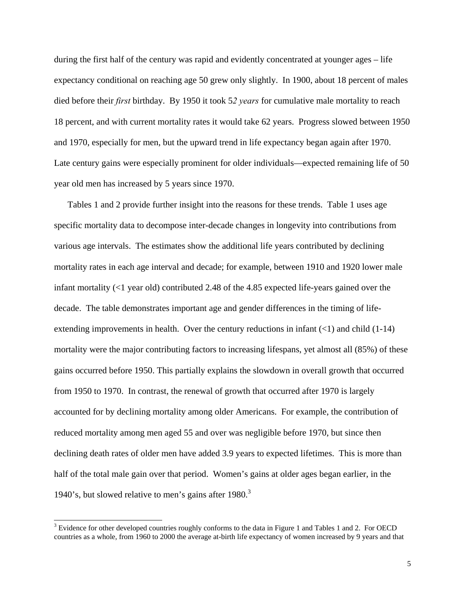during the first half of the century was rapid and evidently concentrated at younger ages – life expectancy conditional on reaching age 50 grew only slightly. In 1900, about 18 percent of males died before their *first* birthday. By 1950 it took 5*2 years* for cumulative male mortality to reach 18 percent, and with current mortality rates it would take 62 years. Progress slowed between 1950 and 1970, especially for men, but the upward trend in life expectancy began again after 1970. Late century gains were especially prominent for older individuals—expected remaining life of 50 year old men has increased by 5 years since 1970.

Tables 1 and 2 provide further insight into the reasons for these trends. Table 1 uses age specific mortality data to decompose inter-decade changes in longevity into contributions from various age intervals. The estimates show the additional life years contributed by declining mortality rates in each age interval and decade; for example, between 1910 and 1920 lower male infant mortality (<1 year old) contributed 2.48 of the 4.85 expected life-years gained over the decade. The table demonstrates important age and gender differences in the timing of lifeextending improvements in health. Over the century reductions in infant  $(\langle 1 \rangle)$  and child (1-14) mortality were the major contributing factors to increasing lifespans, yet almost all (85%) of these gains occurred before 1950. This partially explains the slowdown in overall growth that occurred from 1950 to 1970. In contrast, the renewal of growth that occurred after 1970 is largely accounted for by declining mortality among older Americans. For example, the contribution of reduced mortality among men aged 55 and over was negligible before 1970, but since then declining death rates of older men have added 3.9 years to expected lifetimes. This is more than half of the total male gain over that period. Women's gains at older ages began earlier, in the 1940's, but slowed relative to men's gains after  $1980$ <sup>3</sup>

 $3$  Evidence for other developed countries roughly conforms to the data in Figure 1 and Tables 1 and 2. For OECD countries as a whole, from 1960 to 2000 the average at-birth life expectancy of women increased by 9 years and that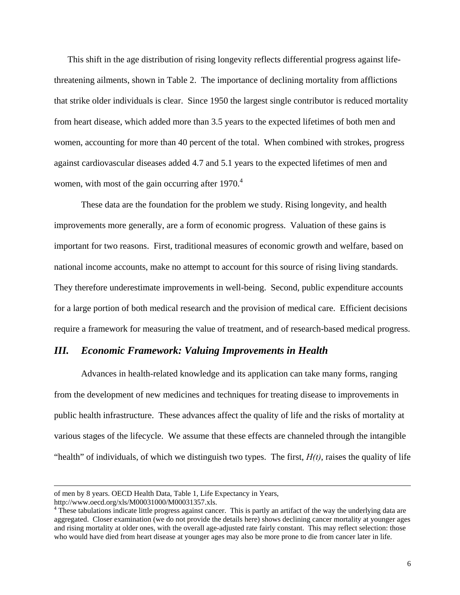This shift in the age distribution of rising longevity reflects differential progress against lifethreatening ailments, shown in Table 2. The importance of declining mortality from afflictions that strike older individuals is clear. Since 1950 the largest single contributor is reduced mortality from heart disease, which added more than 3.5 years to the expected lifetimes of both men and women, accounting for more than 40 percent of the total. When combined with strokes, progress against cardiovascular diseases added 4.7 and 5.1 years to the expected lifetimes of men and women, with most of the gain occurring after  $1970<sup>4</sup>$ 

 These data are the foundation for the problem we study. Rising longevity, and health improvements more generally, are a form of economic progress. Valuation of these gains is important for two reasons. First, traditional measures of economic growth and welfare, based on national income accounts, make no attempt to account for this source of rising living standards. They therefore underestimate improvements in well-being. Second, public expenditure accounts for a large portion of both medical research and the provision of medical care. Efficient decisions require a framework for measuring the value of treatment, and of research-based medical progress.

#### *III. Economic Framework: Valuing Improvements in Health*

Advances in health-related knowledge and its application can take many forms, ranging from the development of new medicines and techniques for treating disease to improvements in public health infrastructure. These advances affect the quality of life and the risks of mortality at various stages of the lifecycle. We assume that these effects are channeled through the intangible "health" of individuals, of which we distinguish two types. The first, *H(t)*, raises the quality of life

l

of men by 8 years. OECD Health Data, Table 1, Life Expectancy in Years,

http://www.oecd.org/xls/M00031000/M00031357.xls.

<sup>&</sup>lt;sup>4</sup> These tabulations indicate little progress against cancer. This is partly an artifact of the way the underlying data are aggregated. Closer examination (we do not provide the details here) shows declining cancer mortality at younger ages and rising mortality at older ones, with the overall age-adjusted rate fairly constant. This may reflect selection: those who would have died from heart disease at younger ages may also be more prone to die from cancer later in life.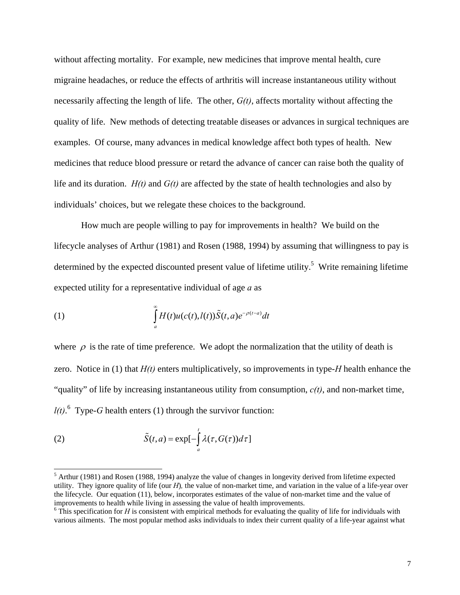without affecting mortality. For example, new medicines that improve mental health, cure migraine headaches, or reduce the effects of arthritis will increase instantaneous utility without necessarily affecting the length of life. The other, *G(t)*, affects mortality without affecting the quality of life. New methods of detecting treatable diseases or advances in surgical techniques are examples. Of course, many advances in medical knowledge affect both types of health. New medicines that reduce blood pressure or retard the advance of cancer can raise both the quality of life and its duration. *H(t)* and *G(t)* are affected by the state of health technologies and also by individuals' choices, but we relegate these choices to the background.

How much are people willing to pay for improvements in health? We build on the lifecycle analyses of Arthur (1981) and Rosen (1988, 1994) by assuming that willingness to pay is determined by the expected discounted present value of lifetime utility.<sup>5</sup> Write remaining lifetime expected utility for a representative individual of age *a* as

(1) 
$$
\int_{a}^{\infty} H(t)u(c(t),l(t))\tilde{S}(t,a)e^{-\rho(t-a)}dt
$$

where  $\rho$  is the rate of time preference. We adopt the normalization that the utility of death is zero. Notice in (1) that *H(t)* enters multiplicatively, so improvements in type-*H* health enhance the "quality" of life by increasing instantaneous utility from consumption, *c(t)*, and non-market time,  $l(t)$ .<sup>6</sup> Type-*G* health enters (1) through the survivor function:

(2) 
$$
\tilde{S}(t,a) = \exp[-\int_{a}^{t} \lambda(\tau, G(\tau))d\tau]
$$

 $<sup>5</sup>$  Arthur (1981) and Rosen (1988, 1994) analyze the value of changes in longevity derived from lifetime expected</sup> utility. They ignore quality of life (our *H*)*,* the value of non-market time, and variation in the value of a life-year over the lifecycle. Our equation (11), below, incorporates estimates of the value of non-market time and the value of improvements to health while living in assessing the value of health improvements.

 $6$  This specification for *H* is consistent with empirical methods for evaluating the quality of life for individuals with various ailments. The most popular method asks individuals to index their current quality of a life-year against what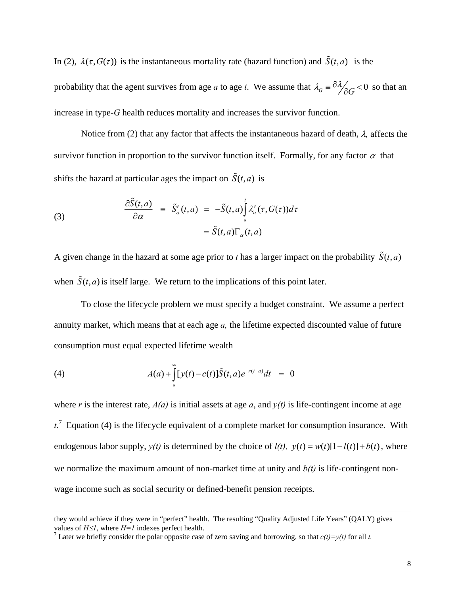In (2),  $\lambda(\tau, G(\tau))$  is the instantaneous mortality rate (hazard function) and  $\tilde{S}(t, a)$  is the probability that the agent survives from age *a* to age *t*. We assume that  $\lambda_G = \frac{\partial \lambda}{\partial G} < 0$  so that an increase in type-*G* health reduces mortality and increases the survivor function.

 Notice from (2) that any factor that affects the instantaneous hazard of death, λ*,* affects the survivor function in proportion to the survivor function itself. Formally, for any factor  $\alpha$  that shifts the hazard at particular ages the impact on  $\tilde{S}(t, a)$  is

(3) 
$$
\frac{\partial \tilde{S}(t,a)}{\partial \alpha} = \tilde{S}'_a(t,a) = -\tilde{S}(t,a) \int_a^t \lambda'_a(\tau, G(\tau)) d\tau \n= \tilde{S}(t,a) \Gamma_a(t,a)
$$

A given change in the hazard at some age prior to *t* has a larger impact on the probability  $\tilde{S}(t, a)$ when  $\tilde{S}(t, a)$  is itself large. We return to the implications of this point later.

 To close the lifecycle problem we must specify a budget constraint. We assume a perfect annuity market, which means that at each age *a,* the lifetime expected discounted value of future consumption must equal expected lifetime wealth

(4) 
$$
A(a) + \int_{a}^{\infty} [y(t) - c(t)] \tilde{S}(t, a) e^{-r(t-a)} dt = 0
$$

 $\overline{a}$ 

where *r* is the interest rate,  $A(a)$  is initial assets at age *a*, and  $y(t)$  is life-contingent income at age  $t^{\prime}$ . Equation (4) is the lifecycle equivalent of a complete market for consumption insurance. With endogenous labor supply,  $y(t)$  is determined by the choice of  $l(t)$ ,  $y(t) = w(t)[1 - l(t)] + b(t)$ , where we normalize the maximum amount of non-market time at unity and  $b(t)$  is life-contingent nonwage income such as social security or defined-benefit pension receipts.

they would achieve if they were in "perfect" health. The resulting "Quality Adjusted Life Years" (QALY) gives values of  $H \leq l$ , where  $H = l$  indexes perfect health.

Later we briefly consider the polar opposite case of zero saving and borrowing, so that  $c(t)=y(t)$  for all *t*.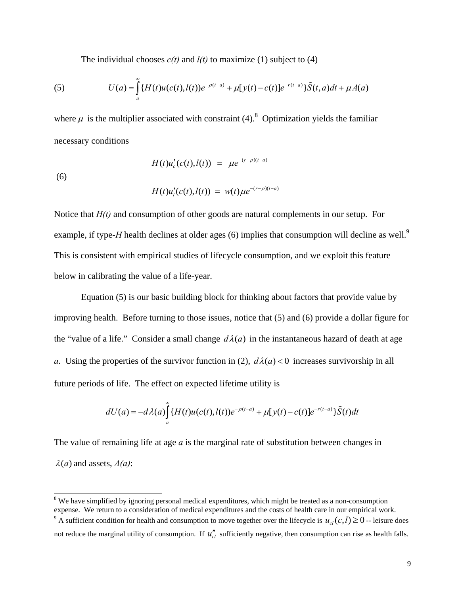The individual chooses  $c(t)$  and  $l(t)$  to maximize (1) subject to (4)

(5) 
$$
U(a) = \int_{a}^{\infty} \{H(t)u(c(t),l(t))e^{-\rho(t-a)} + \mu[y(t)-c(t)]e^{-r(t-a)}\}\tilde{S}(t,a)dt + \mu A(a)
$$

where  $\mu$  is the multiplier associated with constraint (4).<sup>8</sup> Optimization yields the familiar necessary conditions

(6)

$$
H(t)u'_{c}(c(t),l(t)) = \mu e^{-(r-\rho)(t-a)}
$$

$$
H(t)u'_{i}(c(t),l(t)) = w(t)\mu e^{-(r-\rho)(t-a)}
$$

Notice that *H(t)* and consumption of other goods are natural complements in our setup. For example, if type-*H* health declines at older ages (6) implies that consumption will decline as well.<sup>9</sup> This is consistent with empirical studies of lifecycle consumption, and we exploit this feature below in calibrating the value of a life-year.

Equation (5) is our basic building block for thinking about factors that provide value by improving health. Before turning to those issues, notice that (5) and (6) provide a dollar figure for the "value of a life." Consider a small change  $d\lambda(a)$  in the instantaneous hazard of death at age *a*. Using the properties of the survivor function in (2),  $d\lambda(a) < 0$  increases survivorship in all future periods of life. The effect on expected lifetime utility is

$$
dU(a) = -d\lambda(a)\int_{a}^{\infty} \{H(t)u(c(t),l(t))e^{-\rho(t-a)} + \mu[y(t)-c(t)]e^{-r(t-a)}\}\tilde{S}(t)dt
$$

The value of remaining life at age *a* is the marginal rate of substitution between changes in  $\lambda(a)$  and assets,  $A(a)$ :

<sup>&</sup>lt;sup>8</sup> We have simplified by ignoring personal medical expenditures, which might be treated as a non-consumption expense. We return to a consideration of medical expenditures and the costs of health care in our empirical work.

<sup>&</sup>lt;sup>9</sup> A sufficient condition for health and consumption to move together over the lifecycle is  $u_{cl}(c,l) \ge 0$  -- leisure does not reduce the marginal utility of consumption. If  $u''_{cl}$  sufficiently negative, then consumption can rise as health falls.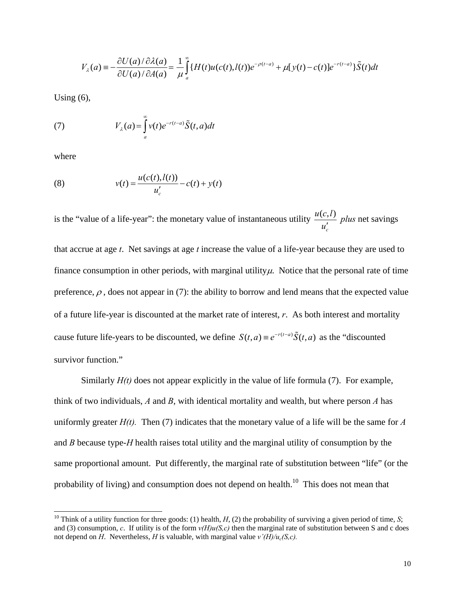$$
V_{\lambda}(a) \equiv -\frac{\partial U(a)/\partial \lambda(a)}{\partial U(a)/\partial A(a)} = \frac{1}{\mu} \int_{a}^{\infty} \{H(t)u(c(t),l(t))e^{-\rho(t-a)} + \mu[y(t)-c(t)]e^{-r(t-a)}\} \tilde{S}(t)dt
$$

Using  $(6)$ ,

(7) 
$$
V_{\lambda}(a) = \int_{a}^{\infty} v(t)e^{-r(t-a)}\tilde{S}(t,a)dt
$$

where

l

(8) 
$$
v(t) = \frac{u(c(t), l(t))}{u'_c} - c(t) + y(t)
$$

is the "value of a life-year": the monetary value of instantaneous utility  $\frac{u(c,l)}{l}$ *c*  $\frac{u(c,l)}{u'_c}$  *plus* net savings

that accrue at age *t*. Net savings at age *t* increase the value of a life-year because they are used to finance consumption in other periods, with marginal utility  $\mu$ . Notice that the personal rate of time preference,  $\rho$ , does not appear in (7): the ability to borrow and lend means that the expected value of a future life-year is discounted at the market rate of interest, *r*. As both interest and mortality cause future life-years to be discounted, we define  $S(t, a) = e^{-r(t-a)} \tilde{S}(t, a)$  as the "discounted" survivor function."

Similarly  $H(t)$  does not appear explicitly in the value of life formula (7). For example, think of two individuals, *A* and *B*, with identical mortality and wealth, but where person *A* has uniformly greater  $H(t)$ . Then (7) indicates that the monetary value of a life will be the same for  $A$ and *B* because type-*H* health raises total utility and the marginal utility of consumption by the same proportional amount. Put differently, the marginal rate of substitution between "life" (or the probability of living) and consumption does not depend on health.<sup>10</sup> This does not mean that

<sup>&</sup>lt;sup>10</sup> Think of a utility function for three goods: (1) health,  $H$ , (2) the probability of surviving a given period of time, *S*; and (3) consumption, *c*. If utility is of the form  $v(H)u(S,c)$  then the marginal rate of substitution between S and c does not depend on *H*. Nevertheless, *H* is valuable, with marginal value  $v'(H)/u_c(S,c)$ .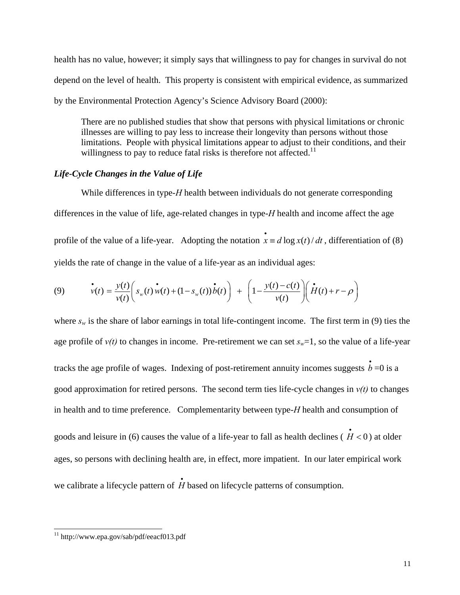health has no value, however; it simply says that willingness to pay for changes in survival do not depend on the level of health. This property is consistent with empirical evidence, as summarized by the Environmental Protection Agency's Science Advisory Board (2000):

There are no published studies that show that persons with physical limitations or chronic illnesses are willing to pay less to increase their longevity than persons without those limitations. People with physical limitations appear to adjust to their conditions, and their willingness to pay to reduce fatal risks is therefore not affected.<sup>11</sup>

#### *Life-Cycle Changes in the Value of Life*

While differences in type-*H* health between individuals do not generate corresponding differences in the value of life, age-related changes in type-*H* health and income affect the age profile of the value of a life-year. Adopting the notation  $\vec{x} = d \log x(t) / dt$ , differentiation of (8) yields the rate of change in the value of a life-year as an individual ages:

(9) 
$$
\dot{v}(t) = \frac{y(t)}{v(t)} \left( s_w(t) \dot{w}(t) + (1 - s_w(t)) \dot{b}(t) \right) + \left( 1 - \frac{y(t) - c(t)}{v(t)} \right) \left( \dot{H}(t) + r - \rho \right)
$$

where  $s_w$  is the share of labor earnings in total life-contingent income. The first term in (9) ties the age profile of  $v(t)$  to changes in income. Pre-retirement we can set  $s_w=1$ , so the value of a life-year tracks the age profile of wages. Indexing of post-retirement annuity incomes suggests  $\dot{b} = 0$  is a good approximation for retired persons. The second term ties life-cycle changes in  $v(t)$  to changes in health and to time preference. Complementarity between type-*H* health and consumption of goods and leisure in (6) causes the value of a life-year to fall as health declines ( $\dot{H}$  < 0) at older ages, so persons with declining health are, in effect, more impatient. In our later empirical work we calibrate a lifecycle pattern of  $\overrightarrow{H}$  based on lifecycle patterns of consumption.

<sup>11</sup> http://www.epa.gov/sab/pdf/eeacf013.pdf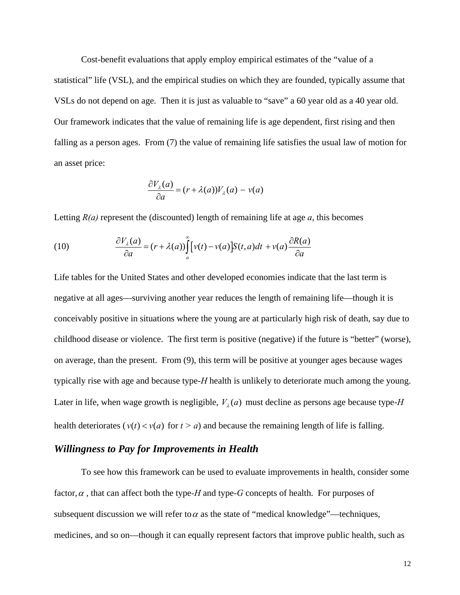Cost-benefit evaluations that apply employ empirical estimates of the "value of a statistical" life (VSL), and the empirical studies on which they are founded, typically assume that VSLs do not depend on age. Then it is just as valuable to "save" a 60 year old as a 40 year old. Our framework indicates that the value of remaining life is age dependent, first rising and then falling as a person ages. From (7) the value of remaining life satisfies the usual law of motion for an asset price:

$$
\frac{\partial V_{\lambda}(a)}{\partial a} = (r + \lambda(a))V_{\lambda}(a) - v(a)
$$

Letting  $R(a)$  represent the (discounted) length of remaining life at age  $a$ , this becomes

(10) 
$$
\frac{\partial V_{\lambda}(a)}{\partial a} = (r + \lambda(a)) \int_{a}^{\infty} [v(t) - v(a)] S(t, a) dt + v(a) \frac{\partial R(a)}{\partial a}
$$

Life tables for the United States and other developed economies indicate that the last term is negative at all ages—surviving another year reduces the length of remaining life—though it is conceivably positive in situations where the young are at particularly high risk of death, say due to childhood disease or violence. The first term is positive (negative) if the future is "better" (worse), on average, than the present. From (9), this term will be positive at younger ages because wages typically rise with age and because type-*H* health is unlikely to deteriorate much among the young. Later in life, when wage growth is negligible,  $V_a(a)$  must decline as persons age because type-*H* health deteriorates ( $v(t) < v(a)$  for  $t > a$ ) and because the remaining length of life is falling.

### *Willingness to Pay for Improvements in Health*

To see how this framework can be used to evaluate improvements in health, consider some factor,  $\alpha$ , that can affect both the type-*H* and type-*G* concepts of health. For purposes of subsequent discussion we will refer to  $\alpha$  as the state of "medical knowledge"—techniques, medicines, and so on—though it can equally represent factors that improve public health, such as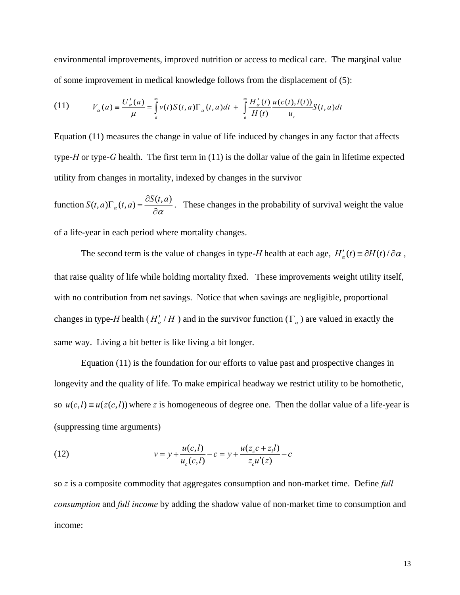environmental improvements, improved nutrition or access to medical care. The marginal value of some improvement in medical knowledge follows from the displacement of (5):

(11) 
$$
V_{\alpha}(a) = \frac{U'_{\alpha}(a)}{\mu} = \int_{a}^{\infty} v(t)S(t,a)\Gamma_{\alpha}(t,a)dt + \int_{a}^{\infty} \frac{H'_{\alpha}(t)}{H(t)} \frac{u(c(t),l(t))}{u_{c}}S(t,a)dt
$$

Equation (11) measures the change in value of life induced by changes in any factor that affects type-*H* or type-*G* health. The first term in (11) is the dollar value of the gain in lifetime expected utility from changes in mortality, indexed by changes in the survivor

function  $S(t, a)\Gamma_{\alpha}(t, a) = \frac{\partial S(t, a)}{\partial \alpha}$ . These changes in the probability of survival weight the value of a life-year in each period where mortality changes.

The second term is the value of changes in type-*H* health at each age,  $H'_\alpha(t) \equiv \partial H(t)/\partial \alpha$ , that raise quality of life while holding mortality fixed. These improvements weight utility itself, with no contribution from net savings. Notice that when savings are negligible, proportional changes in type-*H* health ( $H'_a/H$ ) and in the survivor function ( $\Gamma_a$ ) are valued in exactly the same way. Living a bit better is like living a bit longer.

Equation (11) is the foundation for our efforts to value past and prospective changes in longevity and the quality of life. To make empirical headway we restrict utility to be homothetic, so  $u(c, l) = u(z(c, l))$  where *z* is homogeneous of degree one. Then the dollar value of a life-year is (suppressing time arguments)

(12) 
$$
v = y + \frac{u(c, l)}{u_c(c, l)} - c = y + \frac{u(z_c c + z_l l)}{z_c u'(z)} - c
$$

so *z* is a composite commodity that aggregates consumption and non-market time. Define *full consumption* and *full income* by adding the shadow value of non-market time to consumption and income: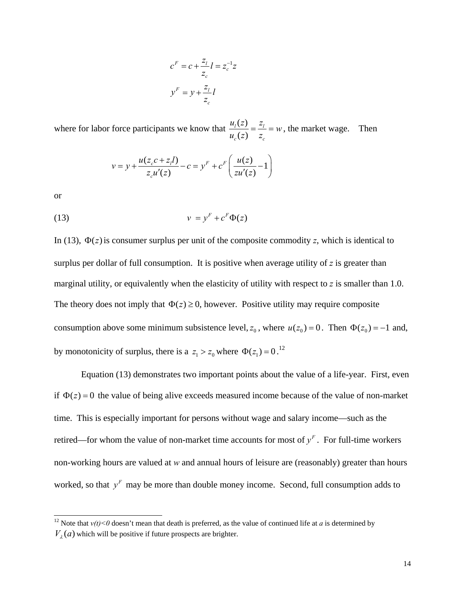$$
cF = c + \frac{z_l}{z_c} l = z_c^{-1} z
$$

$$
yF = y + \frac{z_l}{z_c} l
$$

where for labor force participants we know that  $\frac{u_1(z)}{z}$  $(z)$  $l^{(2)} = {}^{2}l$  $c^{(2)}$   $\sim$  $\frac{u_i(z)}{u_c(z)} = \frac{z_i}{z_c} = w$ , the market wage. Then

$$
v = y + \frac{u(z_c c + z_l l)}{z_c u'(z)} - c = yF + cF \left( \frac{u(z)}{z u'(z)} - 1 \right)
$$

or

 $\overline{a}$ 

$$
(13) \t\t\t v = yF + cF \Phi(z)
$$

In (13),  $\Phi(z)$  is consumer surplus per unit of the composite commodity *z*, which is identical to surplus per dollar of full consumption. It is positive when average utility of *z* is greater than marginal utility, or equivalently when the elasticity of utility with respect to *z* is smaller than 1.0. The theory does not imply that  $\Phi(z) \ge 0$ , however. Positive utility may require composite consumption above some minimum subsistence level,  $z_0$ , where  $u(z_0) = 0$ . Then  $\Phi(z_0) = -1$  and, by monotonicity of surplus, there is a  $z_1 > z_0$  where  $\Phi(z_1) = 0$ .<sup>12</sup>

Equation (13) demonstrates two important points about the value of a life-year. First, even if  $\Phi(z) = 0$  the value of being alive exceeds measured income because of the value of non-market time. This is especially important for persons without wage and salary income—such as the retired—for whom the value of non-market time accounts for most of  $y<sup>F</sup>$ . For full-time workers non-working hours are valued at *w* and annual hours of leisure are (reasonably) greater than hours worked, so that  $y<sup>F</sup>$  may be more than double money income. Second, full consumption adds to

<sup>&</sup>lt;sup>12</sup> Note that  $v(t) < 0$  doesn't mean that death is preferred, as the value of continued life at *a* is determined by  $V<sub>1</sub>(a)$  which will be positive if future prospects are brighter.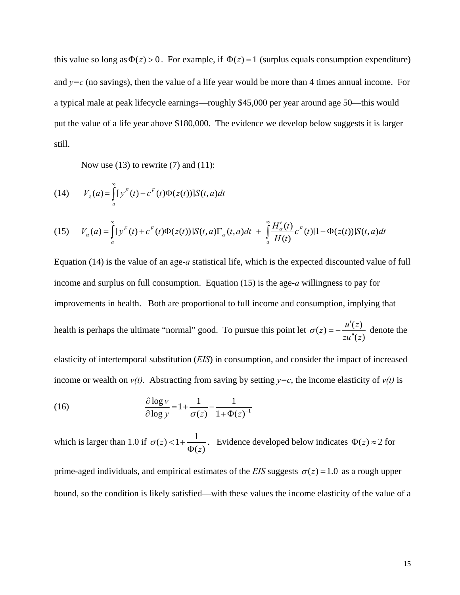this value so long as  $\Phi(z) > 0$ . For example, if  $\Phi(z) = 1$  (surplus equals consumption expenditure) and  $y=c$  (no savings), then the value of a life year would be more than 4 times annual income. For a typical male at peak lifecycle earnings—roughly \$45,000 per year around age 50—this would put the value of a life year above \$180,000. The evidence we develop below suggests it is larger still.

Now use  $(13)$  to rewrite  $(7)$  and  $(11)$ :

(14) 
$$
V_{\lambda}(a) = \int_{a}^{\infty} [y^{F}(t) + c^{F}(t)\Phi(z(t))]S(t, a)dt
$$

(15) 
$$
V_{\alpha}(a) = \int_{a}^{\infty} [y^{F}(t) + c^{F}(t)\Phi(z(t))] S(t, a) \Gamma_{\alpha}(t, a) dt + \int_{a}^{\infty} \frac{H'_{\alpha}(t)}{H(t)} c^{F}(t) [1 + \Phi(z(t))] S(t, a) dt
$$

Equation (14) is the value of an age-*a* statistical life, which is the expected discounted value of full income and surplus on full consumption. Equation (15) is the age-*a* willingness to pay for improvements in health. Both are proportional to full income and consumption, implying that health is perhaps the ultimate "normal" good. To pursue this point let  $\sigma(z) = -\frac{u'(z)}{z u''(z)}$  $\sigma(z) = -\frac{u'(z)}{zu''(z)}$  denote the elasticity of intertemporal substitution (*EIS*) in consumption, and consider the impact of increased income or wealth on  $v(t)$ . Abstracting from saving by setting  $y=c$ , the income elasticity of  $v(t)$  is

(16) 
$$
\frac{\partial \log v}{\partial \log y} = 1 + \frac{1}{\sigma(z)} - \frac{1}{1 + \Phi(z)^{-1}}
$$

which is larger than 1.0 if  $\sigma(z) < 1 + \frac{1}{\Phi(z)}$ *z*  $\sigma(z) < 1 + \frac{1}{\Phi(z)}$ . Evidence developed below indicates  $\Phi(z) \approx 2$  for prime-aged individuals, and empirical estimates of the *EIS* suggests  $\sigma(z) = 1.0$  as a rough upper

bound, so the condition is likely satisfied—with these values the income elasticity of the value of a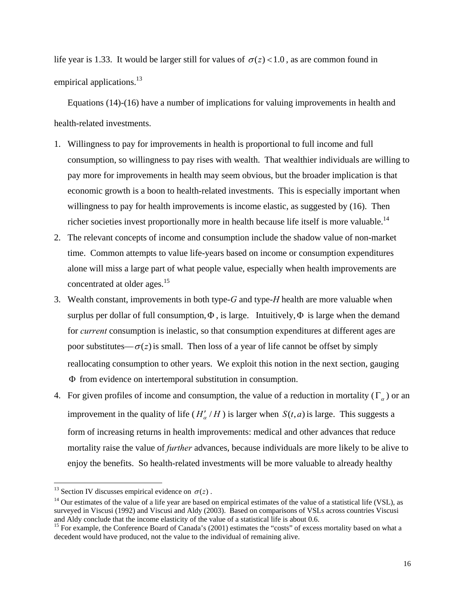life year is 1.33. It would be larger still for values of  $\sigma(z) < 1.0$ , as are common found in empirical applications.<sup>13</sup>

Equations (14)-(16) have a number of implications for valuing improvements in health and health-related investments.

- 1. Willingness to pay for improvements in health is proportional to full income and full consumption, so willingness to pay rises with wealth. That wealthier individuals are willing to pay more for improvements in health may seem obvious, but the broader implication is that economic growth is a boon to health-related investments. This is especially important when willingness to pay for health improvements is income elastic, as suggested by (16). Then richer societies invest proportionally more in health because life itself is more valuable.<sup>14</sup>
- 2. The relevant concepts of income and consumption include the shadow value of non-market time. Common attempts to value life-years based on income or consumption expenditures alone will miss a large part of what people value, especially when health improvements are concentrated at older ages.<sup>15</sup>
- 3. Wealth constant, improvements in both type-*G* and type-*H* health are more valuable when surplus per dollar of full consumption,  $\Phi$ , is large. Intuitively,  $\Phi$  is large when the demand for *current* consumption is inelastic, so that consumption expenditures at different ages are poor substitutes— $\sigma(z)$  is small. Then loss of a year of life cannot be offset by simply reallocating consumption to other years. We exploit this notion in the next section, gauging Φ from evidence on intertemporal substitution in consumption.
- 4. For given profiles of income and consumption, the value of a reduction in mortality ( $\Gamma_{\alpha}$ ) or an improvement in the quality of life  $(H'_a/H)$  is larger when  $S(t, a)$  is large. This suggests a form of increasing returns in health improvements: medical and other advances that reduce mortality raise the value of *further* advances, because individuals are more likely to be alive to enjoy the benefits. So health-related investments will be more valuable to already healthy

<sup>&</sup>lt;sup>13</sup> Section IV discusses empirical evidence on  $\sigma(z)$ .<br><sup>14</sup> Our estimates of the value of a life year are based on empirical estimates of the value of a statistical life (VSL), as surveyed in Viscusi (1992) and Viscusi and Aldy (2003). Based on comparisons of VSLs across countries Viscusi and Aldy conclude that the income elasticity of the value of a statistical life is about 0.6.

<sup>&</sup>lt;sup>15</sup> For example, the Conference Board of Canada's (2001) estimates the "costs" of excess mortality based on what a decedent would have produced, not the value to the individual of remaining alive.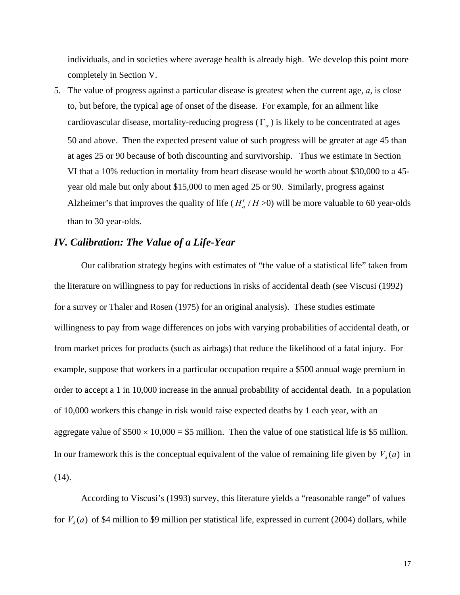individuals, and in societies where average health is already high. We develop this point more completely in Section V.

5. The value of progress against a particular disease is greatest when the current age, *a*, is close to, but before, the typical age of onset of the disease. For example, for an ailment like cardiovascular disease, mortality-reducing progress ( $\Gamma_{\alpha}$ ) is likely to be concentrated at ages 50 and above. Then the expected present value of such progress will be greater at age 45 than at ages 25 or 90 because of both discounting and survivorship. Thus we estimate in Section VI that a 10% reduction in mortality from heart disease would be worth about \$30,000 to a 45 year old male but only about \$15,000 to men aged 25 or 90. Similarly, progress against Alzheimer's that improves the quality of life  $(H'_a/H>0)$  will be more valuable to 60 year-olds than to 30 year-olds.

### *IV. Calibration: The Value of a Life-Year*

Our calibration strategy begins with estimates of "the value of a statistical life" taken from the literature on willingness to pay for reductions in risks of accidental death (see Viscusi (1992) for a survey or Thaler and Rosen (1975) for an original analysis). These studies estimate willingness to pay from wage differences on jobs with varying probabilities of accidental death, or from market prices for products (such as airbags) that reduce the likelihood of a fatal injury. For example, suppose that workers in a particular occupation require a \$500 annual wage premium in order to accept a 1 in 10,000 increase in the annual probability of accidental death. In a population of 10,000 workers this change in risk would raise expected deaths by 1 each year, with an aggregate value of  $$500 \times 10,000 = $5$  million. Then the value of one statistical life is \$5 million. In our framework this is the conceptual equivalent of the value of remaining life given by  $V<sub>2</sub>(a)$  in  $(14)$ .

According to Viscusi's (1993) survey, this literature yields a "reasonable range" of values for  $V_{\lambda}(a)$  of \$4 million to \$9 million per statistical life, expressed in current (2004) dollars, while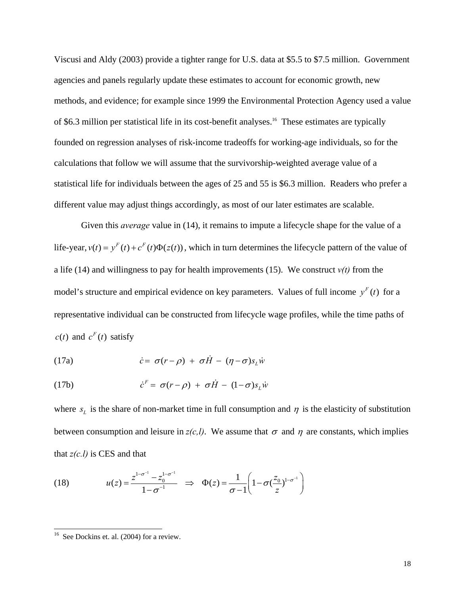Viscusi and Aldy (2003) provide a tighter range for U.S. data at \$5.5 to \$7.5 million. Government agencies and panels regularly update these estimates to account for economic growth, new methods, and evidence; for example since 1999 the Environmental Protection Agency used a value of \$6.3 million per statistical life in its cost-benefit analyses.<sup>16</sup> These estimates are typically founded on regression analyses of risk-income tradeoffs for working-age individuals, so for the calculations that follow we will assume that the survivorship-weighted average value of a statistical life for individuals between the ages of 25 and 55 is \$6.3 million. Readers who prefer a different value may adjust things accordingly, as most of our later estimates are scalable.

Given this *average* value in (14), it remains to impute a lifecycle shape for the value of a life-year,  $v(t) = y^F(t) + c^F(t)\Phi(z(t))$ , which in turn determines the lifecycle pattern of the value of a life (14) and willingness to pay for health improvements (15). We construct  $v(t)$  from the model's structure and empirical evidence on key parameters. Values of full income  $y<sup>F</sup>(t)$  for a representative individual can be constructed from lifecycle wage profiles, while the time paths of  $c(t)$  and  $c<sup>F</sup>(t)$  satisfy

(17a) 
$$
\dot{c} = \sigma(r - \rho) + \sigma \dot{H} - (\eta - \sigma) s_{L} \dot{w}
$$

(17b) 
$$
\dot{c}^F = \sigma(r - \rho) + \sigma \dot{H} - (1 - \sigma)s_L \dot{w}
$$

where  $s_L$  is the share of non-market time in full consumption and  $\eta$  is the elasticity of substitution between consumption and leisure in  $z(c,l)$ . We assume that  $\sigma$  and  $\eta$  are constants, which implies that  $z(c,l)$  is CES and that

(18) 
$$
u(z) = \frac{z^{1-\sigma^{-1}} - z_0^{1-\sigma^{-1}}}{1-\sigma^{-1}} \implies \Phi(z) = \frac{1}{\sigma - 1} \left( 1 - \sigma \left( \frac{z_0}{z} \right)^{1-\sigma^{-1}} \right)
$$

See Dockins et. al. (2004) for a review.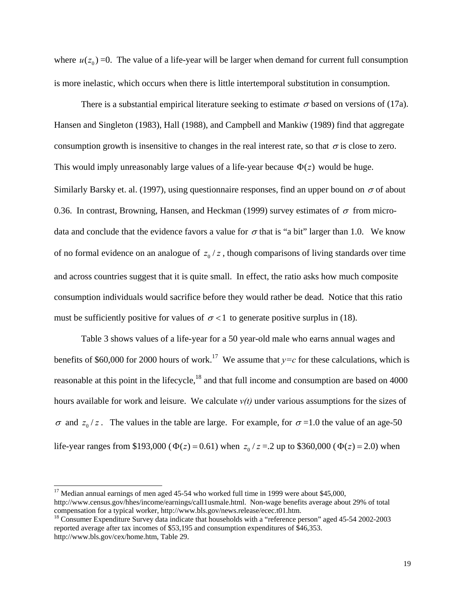where  $u(z_0) = 0$ . The value of a life-year will be larger when demand for current full consumption is more inelastic, which occurs when there is little intertemporal substitution in consumption.

There is a substantial empirical literature seeking to estimate  $\sigma$  based on versions of (17a). Hansen and Singleton (1983), Hall (1988), and Campbell and Mankiw (1989) find that aggregate consumption growth is insensitive to changes in the real interest rate, so that  $\sigma$  is close to zero. This would imply unreasonably large values of a life-year because  $\Phi(z)$  would be huge. Similarly Barsky et. al. (1997), using questionnaire responses, find an upper bound on  $\sigma$  of about 0.36. In contrast, Browning, Hansen, and Heckman (1999) survey estimates of  $\sigma$  from microdata and conclude that the evidence favors a value for  $\sigma$  that is "a bit" larger than 1.0. We know of no formal evidence on an analogue of  $z_0/z$ , though comparisons of living standards over time and across countries suggest that it is quite small. In effect, the ratio asks how much composite consumption individuals would sacrifice before they would rather be dead. Notice that this ratio must be sufficiently positive for values of  $\sigma$  < 1 to generate positive surplus in (18).

 Table 3 shows values of a life-year for a 50 year-old male who earns annual wages and benefits of \$60,000 for 2000 hours of work.<sup>17</sup> We assume that  $y=c$  for these calculations, which is reasonable at this point in the lifecycle,<sup>18</sup> and that full income and consumption are based on 4000 hours available for work and leisure. We calculate  $v(t)$  under various assumptions for the sizes of  $\sigma$  and  $z_0/z$ . The values in the table are large. For example, for  $\sigma$ =1.0 the value of an age-50 life-year ranges from \$193,000 ( $\Phi(z) = 0.61$ ) when  $z_0 / z = 2$  up to \$360,000 ( $\Phi(z) = 2.0$ ) when

l  $17$  Median annual earnings of men aged 45-54 who worked full time in 1999 were about \$45,000, http://www.census.gov/hhes/income/earnings/call1usmale.html. Non-wage benefits average about 29% of total compensation for a typical worker, http://www.bls.gov/news.release/ecec.t01.htm. 18 Consumer Expenditure Survey data indicate that households with a "reference person" aged 45-54 2002-2003

reported average after tax incomes of \$53,195 and consumption expenditures of \$46,353. http://www.bls.gov/cex/home.htm, Table 29.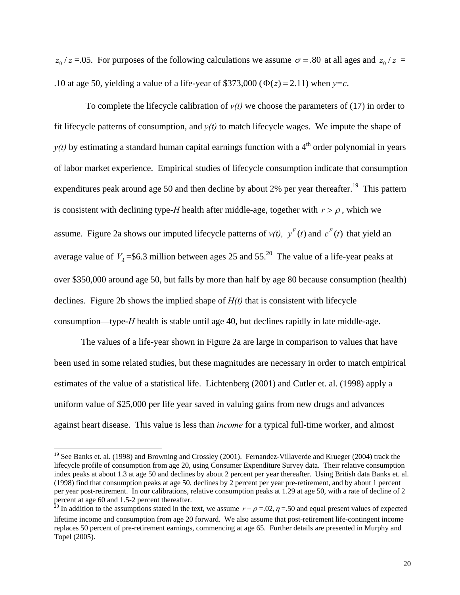$z_0$  /  $z = .05$ . For purposes of the following calculations we assume  $\sigma = .80$  at all ages and  $z_0$  /  $z =$ .10 at age 50, yielding a value of a life-year of \$373,000 ( $\Phi(z) = 2.11$ ) when  $y = c$ .

To complete the lifecycle calibration of  $v(t)$  we choose the parameters of (17) in order to fit lifecycle patterns of consumption, and  $y(t)$  to match lifecycle wages. We impute the shape of  $y(t)$  by estimating a standard human capital earnings function with a 4<sup>th</sup> order polynomial in years of labor market experience. Empirical studies of lifecycle consumption indicate that consumption expenditures peak around age 50 and then decline by about 2% per year thereafter.<sup>19</sup> This pattern is consistent with declining type-*H* health after middle-age, together with  $r > \rho$ , which we assume. Figure 2a shows our imputed lifecycle patterns of  $v(t)$ ,  $y<sup>F</sup>(t)$  and  $c<sup>F</sup>(t)$  that yield an average value of  $V_1$ =\$6.3 million between ages 25 and 55.<sup>20</sup> The value of a life-year peaks at over \$350,000 around age 50, but falls by more than half by age 80 because consumption (health) declines. Figure 2b shows the implied shape of *H(t)* that is consistent with lifecycle consumption—type-*H* health is stable until age 40, but declines rapidly in late middle-age.

The values of a life-year shown in Figure 2a are large in comparison to values that have been used in some related studies, but these magnitudes are necessary in order to match empirical estimates of the value of a statistical life. Lichtenberg (2001) and Cutler et. al. (1998) apply a uniform value of \$25,000 per life year saved in valuing gains from new drugs and advances against heart disease. This value is less than *income* for a typical full-time worker, and almost

<sup>&</sup>lt;sup>19</sup> See Banks et. al. (1998) and Browning and Crossley (2001). Fernandez-Villaverde and Krueger (2004) track the lifecycle profile of consumption from age 20, using Consumer Expenditure Survey data. Their relative consumption index peaks at about 1.3 at age 50 and declines by about 2 percent per year thereafter. Using British data Banks et. al. (1998) find that consumption peaks at age 50, declines by 2 percent per year pre-retirement, and by about 1 percent per year post-retirement. In our calibrations, relative consumption peaks at 1.29 at age 50, with a rate of decline of 2 percent at age 60 and 1.5-2 percent thereafter.

<sup>&</sup>lt;sup>20</sup> In addition to the assumptions stated in the text, we assume  $r - \rho = 0.02$ ,  $\eta = 0.50$  and equal present values of expected lifetime income and consumption from age 20 forward. We also assume that post-retirement life-contingent income replaces 50 percent of pre-retirement earnings, commencing at age 65. Further details are presented in Murphy and Topel (2005).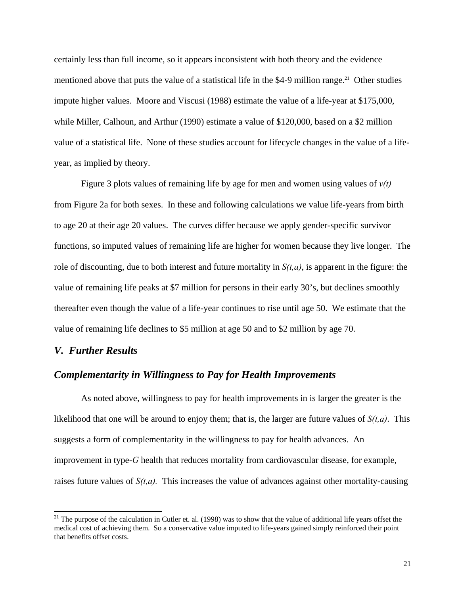certainly less than full income, so it appears inconsistent with both theory and the evidence mentioned above that puts the value of a statistical life in the \$4-9 million range.<sup>21</sup> Other studies impute higher values. Moore and Viscusi (1988) estimate the value of a life-year at \$175,000, while Miller, Calhoun, and Arthur (1990) estimate a value of \$120,000, based on a \$2 million value of a statistical life. None of these studies account for lifecycle changes in the value of a lifeyear, as implied by theory.

Figure 3 plots values of remaining life by age for men and women using values of *v(t)* from Figure 2a for both sexes. In these and following calculations we value life-years from birth to age 20 at their age 20 values. The curves differ because we apply gender-specific survivor functions, so imputed values of remaining life are higher for women because they live longer. The role of discounting, due to both interest and future mortality in  $S(t, a)$ , is apparent in the figure: the value of remaining life peaks at \$7 million for persons in their early 30's, but declines smoothly thereafter even though the value of a life-year continues to rise until age 50. We estimate that the value of remaining life declines to \$5 million at age 50 and to \$2 million by age 70.

#### *V. Further Results*

l

#### *Complementarity in Willingness to Pay for Health Improvements*

 As noted above, willingness to pay for health improvements in is larger the greater is the likelihood that one will be around to enjoy them; that is, the larger are future values of *S(t,a)*. This suggests a form of complementarity in the willingness to pay for health advances. An improvement in type-*G* health that reduces mortality from cardiovascular disease, for example, raises future values of *S(t,a).* This increases the value of advances against other mortality-causing

<sup>&</sup>lt;sup>21</sup> The purpose of the calculation in Cutler et. al. (1998) was to show that the value of additional life years offset the medical cost of achieving them. So a conservative value imputed to life-years gained simply reinforced their point that benefits offset costs.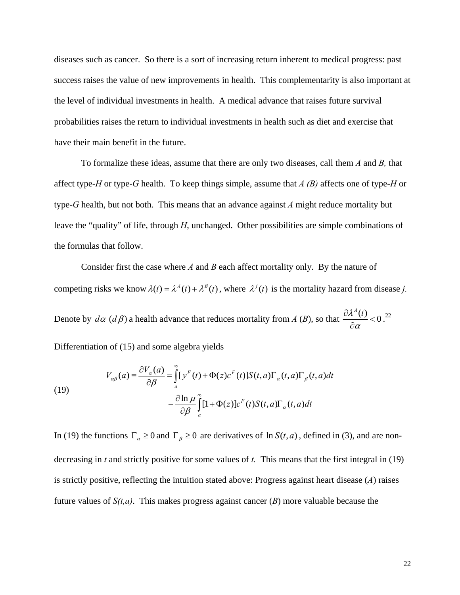diseases such as cancer. So there is a sort of increasing return inherent to medical progress: past success raises the value of new improvements in health. This complementarity is also important at the level of individual investments in health. A medical advance that raises future survival probabilities raises the return to individual investments in health such as diet and exercise that have their main benefit in the future.

 To formalize these ideas, assume that there are only two diseases, call them *A* and *B,* that affect type-*H* or type-*G* health. To keep things simple, assume that *A (B)* affects one of type-*H* or type-*G* health, but not both. This means that an advance against *A* might reduce mortality but leave the "quality" of life, through *H*, unchanged. Other possibilities are simple combinations of the formulas that follow.

 Consider first the case where *A* and *B* each affect mortality only. By the nature of competing risks we know  $\lambda(t) = \lambda^A(t) + \lambda^B(t)$ , where  $\lambda^j(t)$  is the mortality hazard from disease *j*. Denote by  $d\alpha$  ( $d\beta$ ) a health advance that reduces mortality from *A* (*B*), so that  $\frac{\partial \lambda^A(t)}{\partial \alpha^A}$  < 0 α  $\frac{\partial \lambda^{A}(t)}{\partial \alpha} < 0.22$ 

Differentiation of (15) and some algebra yields

(19)  

$$
V_{\alpha\beta}(a) = \frac{\partial V_{\alpha}(a)}{\partial \beta} = \int_{a}^{\infty} [y^{F}(t) + \Phi(z)c^{F}(t)]S(t, a)\Gamma_{\alpha}(t, a)\Gamma_{\beta}(t, a)dt - \frac{\partial \ln \mu}{\partial \beta} \int_{a}^{\infty} [1 + \Phi(z)]c^{F}(t)S(t, a)\Gamma_{\alpha}(t, a)dt
$$

In (19) the functions  $\Gamma_a \ge 0$  and  $\Gamma_\beta \ge 0$  are derivatives of ln  $S(t, a)$ , defined in (3), and are nondecreasing in *t* and strictly positive for some values of *t.* This means that the first integral in (19) is strictly positive, reflecting the intuition stated above: Progress against heart disease (*A*) raises future values of *S(t,a)*. This makes progress against cancer (*B*) more valuable because the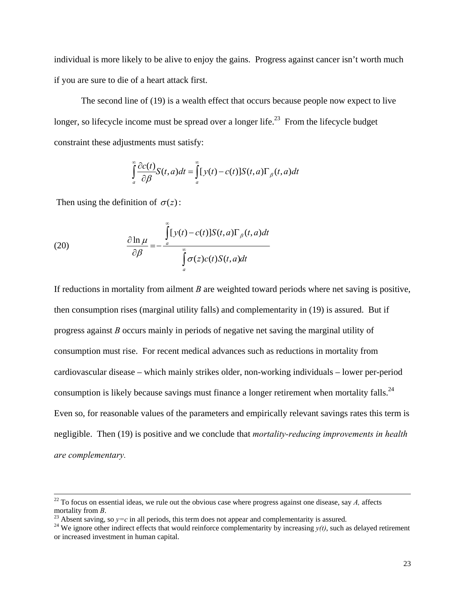individual is more likely to be alive to enjoy the gains. Progress against cancer isn't worth much if you are sure to die of a heart attack first.

 The second line of (19) is a wealth effect that occurs because people now expect to live longer, so lifecycle income must be spread over a longer life.<sup>23</sup> From the lifecycle budget constraint these adjustments must satisfy:

$$
\int_{a}^{\infty} \frac{\partial c(t)}{\partial \beta} S(t, a) dt = \int_{a}^{\infty} [y(t) - c(t)] S(t, a) \Gamma_{\beta}(t, a) dt
$$

Then using the definition of  $\sigma(z)$ :

(20) 
$$
\frac{\partial \ln \mu}{\partial \beta} = -\frac{\int_{a}^{\infty} [y(t) - c(t)] S(t, a) \Gamma_{\beta}(t, a) dt}{\int_{a}^{\infty} \sigma(z) c(t) S(t, a) dt}
$$

If reductions in mortality from ailment *B* are weighted toward periods where net saving is positive, then consumption rises (marginal utility falls) and complementarity in (19) is assured. But if progress against *B* occurs mainly in periods of negative net saving the marginal utility of consumption must rise. For recent medical advances such as reductions in mortality from cardiovascular disease – which mainly strikes older, non-working individuals – lower per-period consumption is likely because savings must finance a longer retirement when mortality falls.<sup>24</sup> Even so, for reasonable values of the parameters and empirically relevant savings rates this term is negligible. Then (19) is positive and we conclude that *mortality-reducing improvements in health are complementary.* 

 $22$  To focus on essential ideas, we rule out the obvious case where progress against one disease, say *A*, affects mortality from *B*.

<sup>&</sup>lt;sup>23</sup> Absent saving, so  $y=c$  in all periods, this term does not appear and complementarity is assured.<br><sup>24</sup> We ignore other indirect effects that would reinforce complementarity by increasing  $y(t)$ , such as delayed retirem or increased investment in human capital.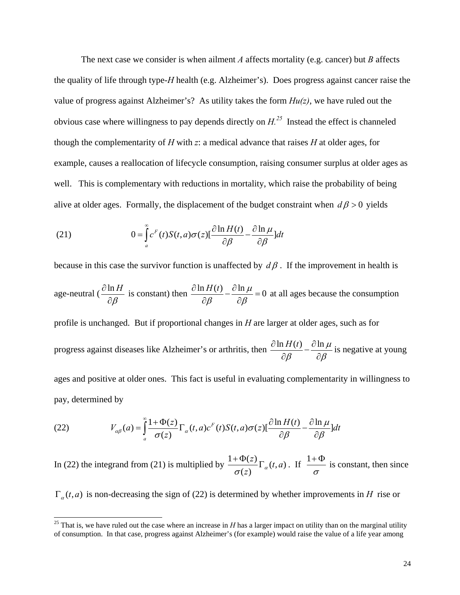The next case we consider is when ailment *A* affects mortality (e.g. cancer) but *B* affects the quality of life through type-*H* health (e.g. Alzheimer's). Does progress against cancer raise the value of progress against Alzheimer's? As utility takes the form *Hu(z)*, we have ruled out the obvious case where willingness to pay depends directly on  $H^{25}$ . Instead the effect is channeled though the complementarity of *H* with *z*: a medical advance that raises *H* at older ages, for example, causes a reallocation of lifecycle consumption, raising consumer surplus at older ages as well. This is complementary with reductions in mortality, which raise the probability of being alive at older ages. Formally, the displacement of the budget constraint when  $d\beta > 0$  yields

(21) 
$$
0 = \int_{a}^{\infty} c^{F}(t) S(t, a) \sigma(z) \left[ \frac{\partial \ln H(t)}{\partial \beta} - \frac{\partial \ln \mu}{\partial \beta} \right] dt
$$

because in this case the survivor function is unaffected by  $d\beta$ . If the improvement in health is age-neutral  $\left(\frac{\partial \ln H}{\partial \rho}\right)$  $\beta$  $\frac{\partial \ln H}{\partial \beta}$  is constant) then  $\frac{\partial \ln H(t)}{\partial \beta} - \frac{\partial \ln \mu}{\partial \beta} = 0$  at all ages because the consumption profile is unchanged. But if proportional changes in *H* are larger at older ages, such as for progress against diseases like Alzheimer's or arthritis, then  $\frac{\partial \ln H(t)}{\partial \theta} - \frac{\partial \ln \mu}{\partial \theta}$  $\frac{\partial \ln H(t)}{\partial \beta} - \frac{\partial \ln \mu}{\partial \beta}$  is negative at young ages and positive at older ones. This fact is useful in evaluating complementarity in willingness to pay, determined by

(22) 
$$
V_{\alpha\beta}(a) = \int_{a}^{\infty} \frac{1 + \Phi(z)}{\sigma(z)} \Gamma_{\alpha}(t, a) c^{F}(t) S(t, a) \sigma(z) \left[\frac{\partial \ln H(t)}{\partial \beta} - \frac{\partial \ln \mu}{\partial \beta}\right] dt
$$

 $\overline{a}$ 

In (22) the integrand from (21) is multiplied by  $\frac{1 + \Phi(z)}{\sigma(z)} \Gamma_{\alpha}(t, a)$  $\sigma(z)$ <sup> $\alpha$ </sup>  $+\frac{\Phi(z)}{\sigma(z)}\Gamma_{\alpha}(t,a)$ . If  $\frac{1+\Phi}{\sigma}$  is constant, then since

 $\Gamma_a(t, a)$  is non-decreasing the sign of (22) is determined by whether improvements in *H* rise or

<sup>&</sup>lt;sup>25</sup> That is, we have ruled out the case where an increase in  $H$  has a larger impact on utility than on the marginal utility of consumption. In that case, progress against Alzheimer's (for example) would raise the value of a life year among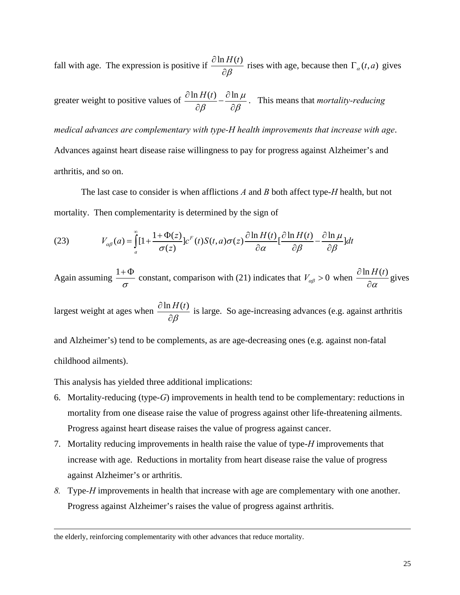fall with age. The expression is positive if  $\frac{\partial \ln H(t)}{\partial x}$ β  $\frac{\partial \ln H(t)}{\partial \beta}$  rises with age, because then  $\Gamma_{\alpha}(t, a)$  gives

greater weight to positive values of 
$$
\frac{\partial \ln H(t)}{\partial \beta} - \frac{\partial \ln \mu}{\partial \beta}
$$
. This means that *mortality-reducing*

*medical advances are complementary with type-H health improvements that increase with age*. Advances against heart disease raise willingness to pay for progress against Alzheimer's and arthritis, and so on.

 The last case to consider is when afflictions *A* and *B* both affect type-*H* health, but not mortality. Then complementarity is determined by the sign of

(23) 
$$
V_{\alpha\beta}(a) = \int_{a}^{\infty} [1 + \frac{1 + \Phi(z)}{\sigma(z)}] c^{F}(t) S(t, a) \sigma(z) \frac{\partial \ln H(t)}{\partial \alpha} \left[ \frac{\partial \ln H(t)}{\partial \beta} - \frac{\partial \ln \mu}{\partial \beta} \right] dt
$$

Again assuming  $\frac{1+\Phi}{\sigma}$  constant, comparison with (21) indicates that  $V_{\alpha\beta} > 0$  when  $\frac{\partial \ln H(t)}{\partial \alpha}$  $\frac{\partial \ln H(t)}{\partial \alpha}$  gives

largest weight at ages when  $\frac{\partial \ln H(t)}{\partial x}$ β  $\frac{\partial \ln H(t)}{\partial \beta}$  is large. So age-increasing advances (e.g. against arthritis

and Alzheimer's) tend to be complements, as are age-decreasing ones (e.g. against non-fatal childhood ailments).

This analysis has yielded three additional implications:

- 6. Mortality-reducing (type-*G*) improvements in health tend to be complementary: reductions in mortality from one disease raise the value of progress against other life-threatening ailments. Progress against heart disease raises the value of progress against cancer.
- 7. Mortality reducing improvements in health raise the value of type-*H* improvements that increase with age. Reductions in mortality from heart disease raise the value of progress against Alzheimer's or arthritis.
- *8.* Type*-H* improvements in health that increase with age are complementary with one another. Progress against Alzheimer's raises the value of progress against arthritis.

the elderly, reinforcing complementarity with other advances that reduce mortality.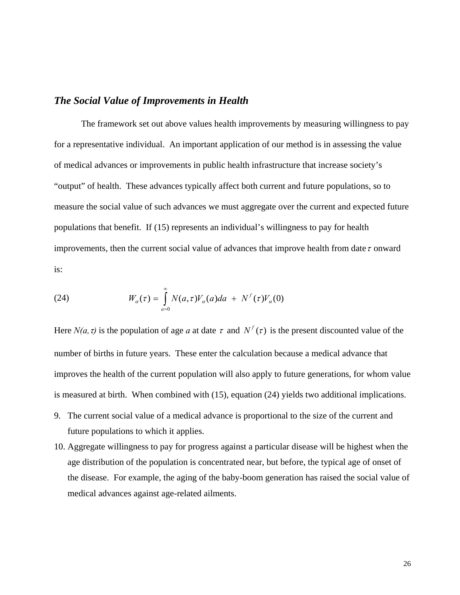### *The Social Value of Improvements in Health*

The framework set out above values health improvements by measuring willingness to pay for a representative individual. An important application of our method is in assessing the value of medical advances or improvements in public health infrastructure that increase society's "output" of health. These advances typically affect both current and future populations, so to measure the social value of such advances we must aggregate over the current and expected future populations that benefit. If (15) represents an individual's willingness to pay for health improvements, then the current social value of advances that improve health from date  $\tau$  onward is:

(24) 
$$
W_{\alpha}(\tau) = \int_{a=0}^{\infty} N(a,\tau)V_{\alpha}(a)da + N^f(\tau)V_{\alpha}(0)
$$

Here  $N(a, \tau)$  is the population of age *a* at date  $\tau$  and  $N^f(\tau)$  is the present discounted value of the number of births in future years. These enter the calculation because a medical advance that improves the health of the current population will also apply to future generations, for whom value is measured at birth. When combined with (15), equation (24) yields two additional implications.

- 9. The current social value of a medical advance is proportional to the size of the current and future populations to which it applies.
- 10. Aggregate willingness to pay for progress against a particular disease will be highest when the age distribution of the population is concentrated near, but before, the typical age of onset of the disease. For example, the aging of the baby-boom generation has raised the social value of medical advances against age-related ailments.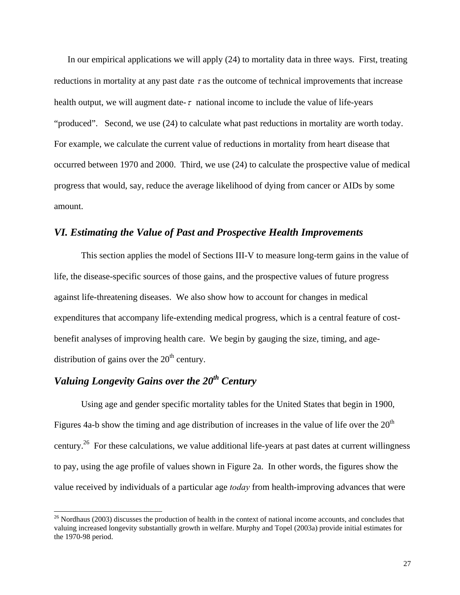In our empirical applications we will apply (24) to mortality data in three ways. First, treating reductions in mortality at any past date  $\tau$  as the outcome of technical improvements that increase health output, we will augment date- $\tau$  national income to include the value of life-years "produced". Second, we use (24) to calculate what past reductions in mortality are worth today. For example, we calculate the current value of reductions in mortality from heart disease that occurred between 1970 and 2000. Third, we use (24) to calculate the prospective value of medical progress that would, say, reduce the average likelihood of dying from cancer or AIDs by some amount.

### *VI. Estimating the Value of Past and Prospective Health Improvements*

This section applies the model of Sections III-V to measure long-term gains in the value of life, the disease-specific sources of those gains, and the prospective values of future progress against life-threatening diseases. We also show how to account for changes in medical expenditures that accompany life-extending medical progress, which is a central feature of costbenefit analyses of improving health care. We begin by gauging the size, timing, and agedistribution of gains over the  $20<sup>th</sup>$  century.

### *Valuing Longevity Gains over the 20th Century*

l

Using age and gender specific mortality tables for the United States that begin in 1900, Figures 4a-b show the timing and age distribution of increases in the value of life over the  $20<sup>th</sup>$ century.26 For these calculations, we value additional life-years at past dates at current willingness to pay, using the age profile of values shown in Figure 2a. In other words, the figures show the value received by individuals of a particular age *today* from health-improving advances that were

<sup>&</sup>lt;sup>26</sup> Nordhaus (2003) discusses the production of health in the context of national income accounts, and concludes that valuing increased longevity substantially growth in welfare. Murphy and Topel (2003a) provide initial estimates for the 1970-98 period.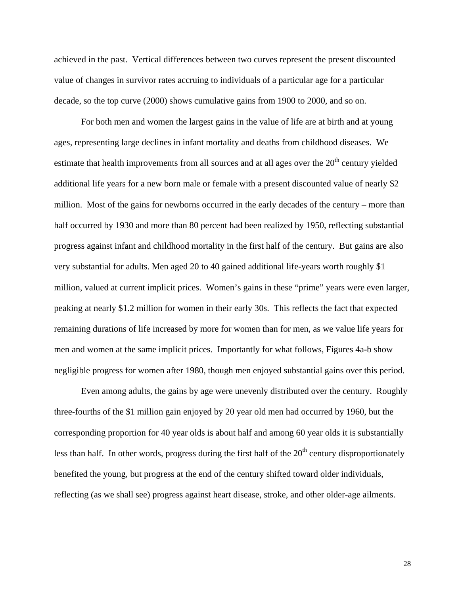achieved in the past. Vertical differences between two curves represent the present discounted value of changes in survivor rates accruing to individuals of a particular age for a particular decade, so the top curve (2000) shows cumulative gains from 1900 to 2000, and so on.

For both men and women the largest gains in the value of life are at birth and at young ages, representing large declines in infant mortality and deaths from childhood diseases. We estimate that health improvements from all sources and at all ages over the  $20<sup>th</sup>$  century yielded additional life years for a new born male or female with a present discounted value of nearly \$2 million. Most of the gains for newborns occurred in the early decades of the century – more than half occurred by 1930 and more than 80 percent had been realized by 1950, reflecting substantial progress against infant and childhood mortality in the first half of the century. But gains are also very substantial for adults. Men aged 20 to 40 gained additional life-years worth roughly \$1 million, valued at current implicit prices. Women's gains in these "prime" years were even larger, peaking at nearly \$1.2 million for women in their early 30s. This reflects the fact that expected remaining durations of life increased by more for women than for men, as we value life years for men and women at the same implicit prices. Importantly for what follows, Figures 4a-b show negligible progress for women after 1980, though men enjoyed substantial gains over this period.

Even among adults, the gains by age were unevenly distributed over the century. Roughly three-fourths of the \$1 million gain enjoyed by 20 year old men had occurred by 1960, but the corresponding proportion for 40 year olds is about half and among 60 year olds it is substantially less than half. In other words, progress during the first half of the  $20<sup>th</sup>$  century disproportionately benefited the young, but progress at the end of the century shifted toward older individuals, reflecting (as we shall see) progress against heart disease, stroke, and other older-age ailments.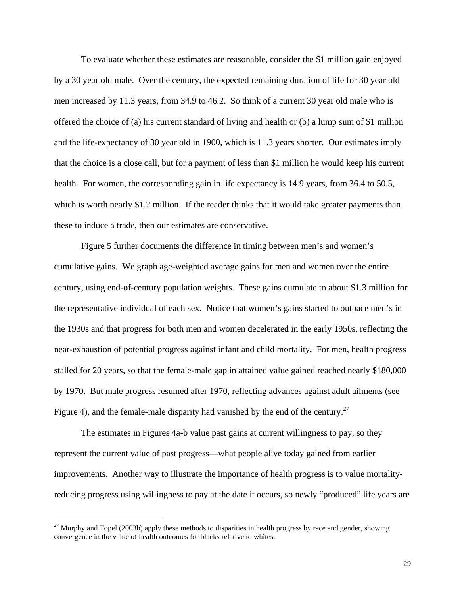To evaluate whether these estimates are reasonable, consider the \$1 million gain enjoyed by a 30 year old male. Over the century, the expected remaining duration of life for 30 year old men increased by 11.3 years, from 34.9 to 46.2. So think of a current 30 year old male who is offered the choice of (a) his current standard of living and health or (b) a lump sum of \$1 million and the life-expectancy of 30 year old in 1900, which is 11.3 years shorter. Our estimates imply that the choice is a close call, but for a payment of less than \$1 million he would keep his current health. For women, the corresponding gain in life expectancy is 14.9 years, from 36.4 to 50.5, which is worth nearly \$1.2 million. If the reader thinks that it would take greater payments than these to induce a trade, then our estimates are conservative.

Figure 5 further documents the difference in timing between men's and women's cumulative gains. We graph age-weighted average gains for men and women over the entire century, using end-of-century population weights. These gains cumulate to about \$1.3 million for the representative individual of each sex. Notice that women's gains started to outpace men's in the 1930s and that progress for both men and women decelerated in the early 1950s, reflecting the near-exhaustion of potential progress against infant and child mortality. For men, health progress stalled for 20 years, so that the female-male gap in attained value gained reached nearly \$180,000 by 1970. But male progress resumed after 1970, reflecting advances against adult ailments (see Figure 4), and the female-male disparity had vanished by the end of the century.<sup>27</sup>

The estimates in Figures 4a-b value past gains at current willingness to pay, so they represent the current value of past progress—what people alive today gained from earlier improvements. Another way to illustrate the importance of health progress is to value mortalityreducing progress using willingness to pay at the date it occurs, so newly "produced" life years are

 $^{27}$  Murphy and Topel (2003b) apply these methods to disparities in health progress by race and gender, showing convergence in the value of health outcomes for blacks relative to whites.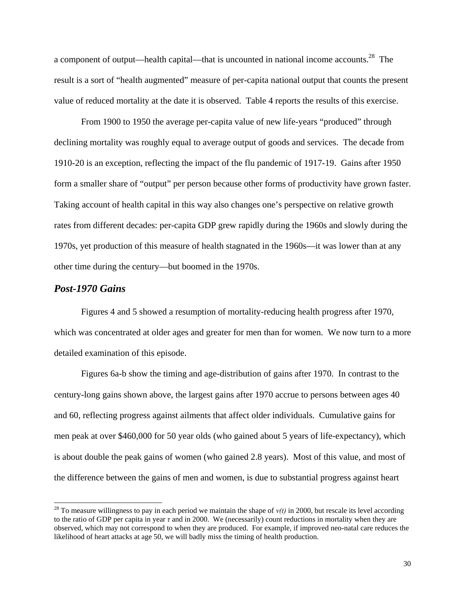a component of output—health capital—that is uncounted in national income accounts.28 The result is a sort of "health augmented" measure of per-capita national output that counts the present value of reduced mortality at the date it is observed. Table 4 reports the results of this exercise.

From 1900 to 1950 the average per-capita value of new life-years "produced" through declining mortality was roughly equal to average output of goods and services. The decade from 1910-20 is an exception, reflecting the impact of the flu pandemic of 1917-19. Gains after 1950 form a smaller share of "output" per person because other forms of productivity have grown faster. Taking account of health capital in this way also changes one's perspective on relative growth rates from different decades: per-capita GDP grew rapidly during the 1960s and slowly during the 1970s, yet production of this measure of health stagnated in the 1960s—it was lower than at any other time during the century—but boomed in the 1970s.

#### *Post-1970 Gains*

 $\overline{a}$ 

Figures 4 and 5 showed a resumption of mortality-reducing health progress after 1970, which was concentrated at older ages and greater for men than for women. We now turn to a more detailed examination of this episode.

Figures 6a-b show the timing and age-distribution of gains after 1970. In contrast to the century-long gains shown above, the largest gains after 1970 accrue to persons between ages 40 and 60, reflecting progress against ailments that affect older individuals. Cumulative gains for men peak at over \$460,000 for 50 year olds (who gained about 5 years of life-expectancy), which is about double the peak gains of women (who gained 2.8 years). Most of this value, and most of the difference between the gains of men and women, is due to substantial progress against heart

<sup>&</sup>lt;sup>28</sup> To measure willingness to pay in each period we maintain the shape of  $v(t)$  in 2000, but rescale its level according to the ratio of GDP per capita in year *τ* and in 2000. We (necessarily) count reductions in mortality when they are observed, which may not correspond to when they are produced. For example, if improved neo-natal care reduces the likelihood of heart attacks at age 50, we will badly miss the timing of health production.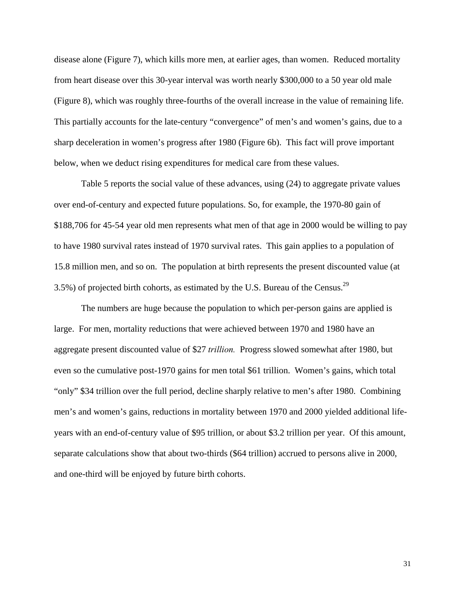disease alone (Figure 7), which kills more men, at earlier ages, than women. Reduced mortality from heart disease over this 30-year interval was worth nearly \$300,000 to a 50 year old male (Figure 8), which was roughly three-fourths of the overall increase in the value of remaining life. This partially accounts for the late-century "convergence" of men's and women's gains, due to a sharp deceleration in women's progress after 1980 (Figure 6b). This fact will prove important below, when we deduct rising expenditures for medical care from these values.

Table 5 reports the social value of these advances, using (24) to aggregate private values over end-of-century and expected future populations. So, for example, the 1970-80 gain of \$188,706 for 45-54 year old men represents what men of that age in 2000 would be willing to pay to have 1980 survival rates instead of 1970 survival rates. This gain applies to a population of 15.8 million men, and so on. The population at birth represents the present discounted value (at 3.5%) of projected birth cohorts, as estimated by the U.S. Bureau of the Census.<sup>29</sup>

The numbers are huge because the population to which per-person gains are applied is large. For men, mortality reductions that were achieved between 1970 and 1980 have an aggregate present discounted value of \$27 *trillion.* Progress slowed somewhat after 1980, but even so the cumulative post-1970 gains for men total \$61 trillion. Women's gains, which total "only" \$34 trillion over the full period, decline sharply relative to men's after 1980. Combining men's and women's gains, reductions in mortality between 1970 and 2000 yielded additional lifeyears with an end-of-century value of \$95 trillion, or about \$3.2 trillion per year. Of this amount, separate calculations show that about two-thirds (\$64 trillion) accrued to persons alive in 2000, and one-third will be enjoyed by future birth cohorts.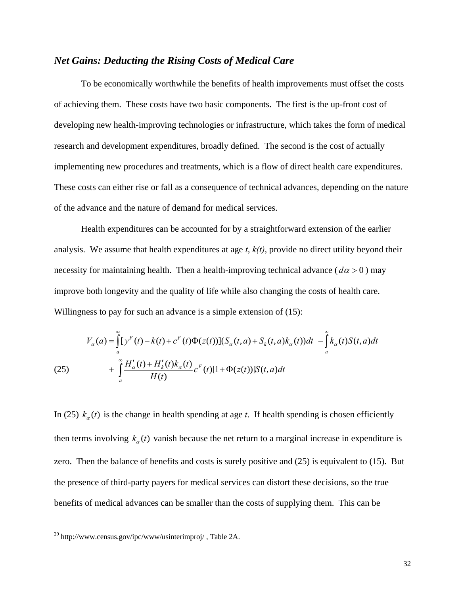### *Net Gains: Deducting the Rising Costs of Medical Care*

To be economically worthwhile the benefits of health improvements must offset the costs of achieving them. These costs have two basic components. The first is the up-front cost of developing new health-improving technologies or infrastructure, which takes the form of medical research and development expenditures, broadly defined. The second is the cost of actually implementing new procedures and treatments, which is a flow of direct health care expenditures. These costs can either rise or fall as a consequence of technical advances, depending on the nature of the advance and the nature of demand for medical services.

 Health expenditures can be accounted for by a straightforward extension of the earlier analysis. We assume that health expenditures at age *t*, *k(t)*, provide no direct utility beyond their necessity for maintaining health. Then a health-improving technical advance ( $d\alpha > 0$ ) may improve both longevity and the quality of life while also changing the costs of health care. Willingness to pay for such an advance is a simple extension of  $(15)$ :

(25) 
$$
V_{\alpha}(a) = \int_{a}^{\infty} [y^{F}(t) - k(t) + c^{F}(t)\Phi(z(t))](S_{\alpha}(t, a) + S_{k}(t, a)k_{\alpha}(t))dt - \int_{a}^{\infty} k_{\alpha}(t)S(t, a)dt + \int_{a}^{\infty} \frac{H'_{\alpha}(t) + H'_{k}(t)k_{\alpha}(t)}{H(t)}c^{F}(t)[1 + \Phi(z(t))]S(t, a)dt
$$

In (25)  $k_a(t)$  is the change in health spending at age *t*. If health spending is chosen efficiently then terms involving  $k_a(t)$  vanish because the net return to a marginal increase in expenditure is zero. Then the balance of benefits and costs is surely positive and (25) is equivalent to (15). But the presence of third-party payers for medical services can distort these decisions, so the true benefits of medical advances can be smaller than the costs of supplying them. This can be

 <sup>29</sup> http://www.census.gov/ipc/www/usinterimproj/ , Table 2A.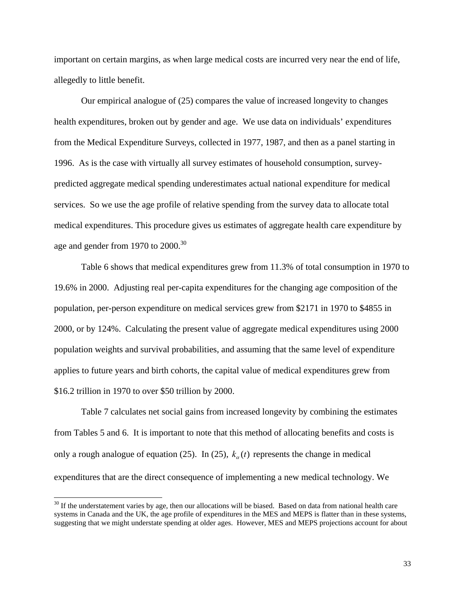important on certain margins, as when large medical costs are incurred very near the end of life, allegedly to little benefit.

Our empirical analogue of (25) compares the value of increased longevity to changes health expenditures, broken out by gender and age. We use data on individuals' expenditures from the Medical Expenditure Surveys, collected in 1977, 1987, and then as a panel starting in 1996. As is the case with virtually all survey estimates of household consumption, surveypredicted aggregate medical spending underestimates actual national expenditure for medical services. So we use the age profile of relative spending from the survey data to allocate total medical expenditures. This procedure gives us estimates of aggregate health care expenditure by age and gender from 1970 to  $2000^{30}$ 

Table 6 shows that medical expenditures grew from 11.3% of total consumption in 1970 to 19.6% in 2000. Adjusting real per-capita expenditures for the changing age composition of the population, per-person expenditure on medical services grew from \$2171 in 1970 to \$4855 in 2000, or by 124%. Calculating the present value of aggregate medical expenditures using 2000 population weights and survival probabilities, and assuming that the same level of expenditure applies to future years and birth cohorts, the capital value of medical expenditures grew from \$16.2 trillion in 1970 to over \$50 trillion by 2000.

Table 7 calculates net social gains from increased longevity by combining the estimates from Tables 5 and 6. It is important to note that this method of allocating benefits and costs is only a rough analogue of equation (25). In (25),  $k_a(t)$  represents the change in medical expenditures that are the direct consequence of implementing a new medical technology. We

 $30$  If the understatement varies by age, then our allocations will be biased. Based on data from national health care systems in Canada and the UK, the age profile of expenditures in the MES and MEPS is flatter than in these systems, suggesting that we might understate spending at older ages. However, MES and MEPS projections account for about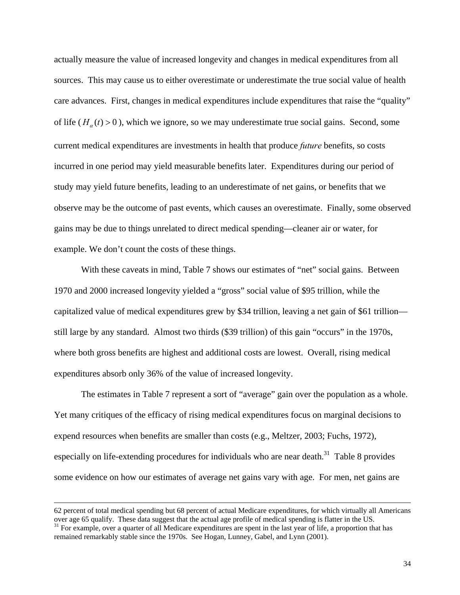actually measure the value of increased longevity and changes in medical expenditures from all sources. This may cause us to either overestimate or underestimate the true social value of health care advances. First, changes in medical expenditures include expenditures that raise the "quality" of life  $(H_a(t) > 0)$ , which we ignore, so we may underestimate true social gains. Second, some current medical expenditures are investments in health that produce *future* benefits, so costs incurred in one period may yield measurable benefits later. Expenditures during our period of study may yield future benefits, leading to an underestimate of net gains, or benefits that we observe may be the outcome of past events, which causes an overestimate. Finally, some observed gains may be due to things unrelated to direct medical spending—cleaner air or water, for example. We don't count the costs of these things.

With these caveats in mind, Table 7 shows our estimates of "net" social gains. Between 1970 and 2000 increased longevity yielded a "gross" social value of \$95 trillion, while the capitalized value of medical expenditures grew by \$34 trillion, leaving a net gain of \$61 trillion still large by any standard. Almost two thirds (\$39 trillion) of this gain "occurs" in the 1970s, where both gross benefits are highest and additional costs are lowest. Overall, rising medical expenditures absorb only 36% of the value of increased longevity.

The estimates in Table 7 represent a sort of "average" gain over the population as a whole. Yet many critiques of the efficacy of rising medical expenditures focus on marginal decisions to expend resources when benefits are smaller than costs (e.g., Meltzer, 2003; Fuchs, 1972), especially on life-extending procedures for individuals who are near death.<sup>31</sup> Table 8 provides some evidence on how our estimates of average net gains vary with age. For men, net gains are

<sup>62</sup> percent of total medical spending but 68 percent of actual Medicare expenditures, for which virtually all Americans over age 65 qualify. These data suggest that the actual age profile of medical spending is flatter in the US.<br><sup>31</sup> For example, over a quarter of all Medicare expenditures are spent in the last year of life, a proportion t

remained remarkably stable since the 1970s. See Hogan, Lunney, Gabel, and Lynn (2001).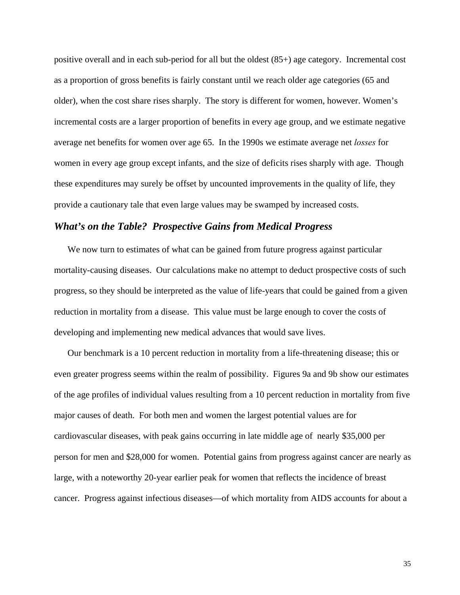positive overall and in each sub-period for all but the oldest (85+) age category. Incremental cost as a proportion of gross benefits is fairly constant until we reach older age categories (65 and older), when the cost share rises sharply. The story is different for women, however. Women's incremental costs are a larger proportion of benefits in every age group, and we estimate negative average net benefits for women over age 65. In the 1990s we estimate average net *losses* for women in every age group except infants, and the size of deficits rises sharply with age. Though these expenditures may surely be offset by uncounted improvements in the quality of life, they provide a cautionary tale that even large values may be swamped by increased costs.

#### *What's on the Table? Prospective Gains from Medical Progress*

We now turn to estimates of what can be gained from future progress against particular mortality-causing diseases. Our calculations make no attempt to deduct prospective costs of such progress, so they should be interpreted as the value of life-years that could be gained from a given reduction in mortality from a disease. This value must be large enough to cover the costs of developing and implementing new medical advances that would save lives.

Our benchmark is a 10 percent reduction in mortality from a life-threatening disease; this or even greater progress seems within the realm of possibility. Figures 9a and 9b show our estimates of the age profiles of individual values resulting from a 10 percent reduction in mortality from five major causes of death. For both men and women the largest potential values are for cardiovascular diseases, with peak gains occurring in late middle age of nearly \$35,000 per person for men and \$28,000 for women. Potential gains from progress against cancer are nearly as large, with a noteworthy 20-year earlier peak for women that reflects the incidence of breast cancer. Progress against infectious diseases—of which mortality from AIDS accounts for about a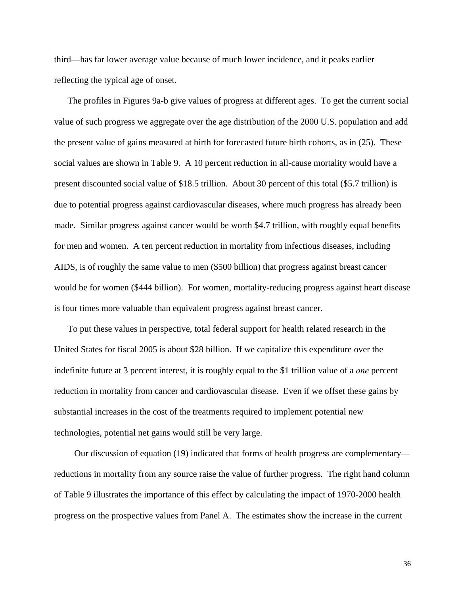third—has far lower average value because of much lower incidence, and it peaks earlier reflecting the typical age of onset.

The profiles in Figures 9a-b give values of progress at different ages. To get the current social value of such progress we aggregate over the age distribution of the 2000 U.S. population and add the present value of gains measured at birth for forecasted future birth cohorts, as in (25). These social values are shown in Table 9. A 10 percent reduction in all-cause mortality would have a present discounted social value of \$18.5 trillion. About 30 percent of this total (\$5.7 trillion) is due to potential progress against cardiovascular diseases, where much progress has already been made. Similar progress against cancer would be worth \$4.7 trillion, with roughly equal benefits for men and women. A ten percent reduction in mortality from infectious diseases, including AIDS, is of roughly the same value to men (\$500 billion) that progress against breast cancer would be for women (\$444 billion). For women, mortality-reducing progress against heart disease is four times more valuable than equivalent progress against breast cancer.

To put these values in perspective, total federal support for health related research in the United States for fiscal 2005 is about \$28 billion. If we capitalize this expenditure over the indefinite future at 3 percent interest, it is roughly equal to the \$1 trillion value of a *one* percent reduction in mortality from cancer and cardiovascular disease. Even if we offset these gains by substantial increases in the cost of the treatments required to implement potential new technologies, potential net gains would still be very large.

Our discussion of equation (19) indicated that forms of health progress are complementary reductions in mortality from any source raise the value of further progress. The right hand column of Table 9 illustrates the importance of this effect by calculating the impact of 1970-2000 health progress on the prospective values from Panel A. The estimates show the increase in the current

36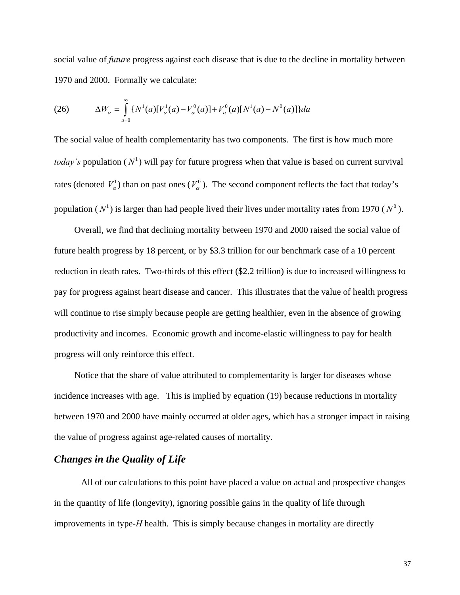social value of *future* progress against each disease that is due to the decline in mortality between 1970 and 2000. Formally we calculate:

(26) 
$$
\Delta W_{\alpha} = \int_{a=0}^{\infty} \{N^{1}(a)[V_{\alpha}^{1}(a) - V_{\alpha}^{0}(a)] + V_{\alpha}^{0}(a)[N^{1}(a) - N^{0}(a)]\} da
$$

The social value of health complementarity has two components. The first is how much more *today's* population ( $N^1$ ) will pay for future progress when that value is based on current survival rates (denoted  $V_a^1$ ) than on past ones ( $V_a^0$ ). The second component reflects the fact that today's population ( $N^1$ ) is larger than had people lived their lives under mortality rates from 1970 ( $N^0$ ).

Overall, we find that declining mortality between 1970 and 2000 raised the social value of future health progress by 18 percent, or by \$3.3 trillion for our benchmark case of a 10 percent reduction in death rates. Two-thirds of this effect (\$2.2 trillion) is due to increased willingness to pay for progress against heart disease and cancer. This illustrates that the value of health progress will continue to rise simply because people are getting healthier, even in the absence of growing productivity and incomes. Economic growth and income-elastic willingness to pay for health progress will only reinforce this effect.

Notice that the share of value attributed to complementarity is larger for diseases whose incidence increases with age. This is implied by equation (19) because reductions in mortality between 1970 and 2000 have mainly occurred at older ages, which has a stronger impact in raising the value of progress against age-related causes of mortality.

### *Changes in the Quality of Life*

All of our calculations to this point have placed a value on actual and prospective changes in the quantity of life (longevity), ignoring possible gains in the quality of life through improvements in type-*H* health. This is simply because changes in mortality are directly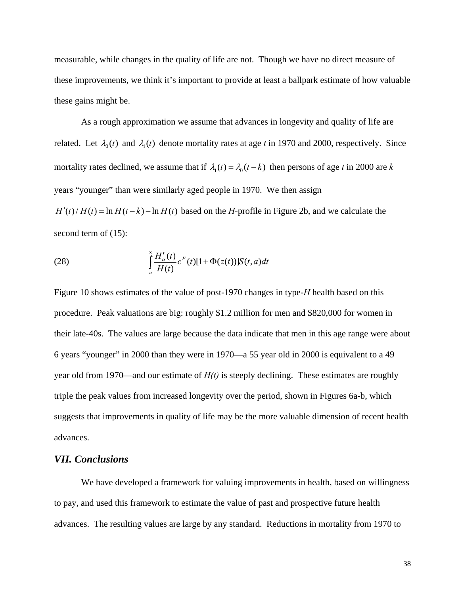measurable, while changes in the quality of life are not. Though we have no direct measure of these improvements, we think it's important to provide at least a ballpark estimate of how valuable these gains might be.

As a rough approximation we assume that advances in longevity and quality of life are related. Let  $\lambda_0(t)$  and  $\lambda_1(t)$  denote mortality rates at age *t* in 1970 and 2000, respectively. Since mortality rates declined, we assume that if  $\lambda_1(t) = \lambda_0(t - k)$  then persons of age *t* in 2000 are *k* years "younger" than were similarly aged people in 1970. We then assign  $H'(t)/H(t) = \ln H(t - k) - \ln H(t)$  based on the *H*-profile in Figure 2b, and we calculate the second term of (15):

(28) 
$$
\int_{a}^{\infty} \frac{H'_{\alpha}(t)}{H(t)} c^{F}(t)[1+\Phi(z(t))]S(t,a)dt
$$

Figure 10 shows estimates of the value of post-1970 changes in type-*H* health based on this procedure. Peak valuations are big: roughly \$1.2 million for men and \$820,000 for women in their late-40s. The values are large because the data indicate that men in this age range were about 6 years "younger" in 2000 than they were in 1970—a 55 year old in 2000 is equivalent to a 49 year old from 1970—and our estimate of *H(t)* is steeply declining. These estimates are roughly triple the peak values from increased longevity over the period, shown in Figures 6a-b, which suggests that improvements in quality of life may be the more valuable dimension of recent health advances.

#### *VII. Conclusions*

 We have developed a framework for valuing improvements in health, based on willingness to pay, and used this framework to estimate the value of past and prospective future health advances. The resulting values are large by any standard. Reductions in mortality from 1970 to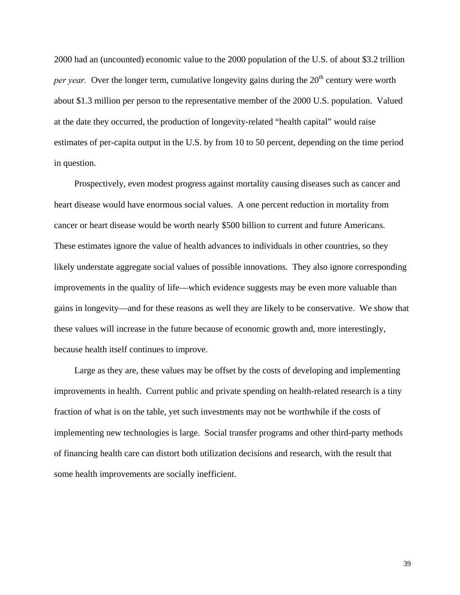2000 had an (uncounted) economic value to the 2000 population of the U.S. of about \$3.2 trillion *per year.* Over the longer term, cumulative longevity gains during the 20<sup>th</sup> century were worth about \$1.3 million per person to the representative member of the 2000 U.S. population. Valued at the date they occurred, the production of longevity-related "health capital" would raise estimates of per-capita output in the U.S. by from 10 to 50 percent, depending on the time period in question.

Prospectively, even modest progress against mortality causing diseases such as cancer and heart disease would have enormous social values. A one percent reduction in mortality from cancer or heart disease would be worth nearly \$500 billion to current and future Americans. These estimates ignore the value of health advances to individuals in other countries, so they likely understate aggregate social values of possible innovations. They also ignore corresponding improvements in the quality of life—which evidence suggests may be even more valuable than gains in longevity—and for these reasons as well they are likely to be conservative. We show that these values will increase in the future because of economic growth and, more interestingly, because health itself continues to improve.

Large as they are, these values may be offset by the costs of developing and implementing improvements in health. Current public and private spending on health-related research is a tiny fraction of what is on the table, yet such investments may not be worthwhile if the costs of implementing new technologies is large. Social transfer programs and other third-party methods of financing health care can distort both utilization decisions and research, with the result that some health improvements are socially inefficient.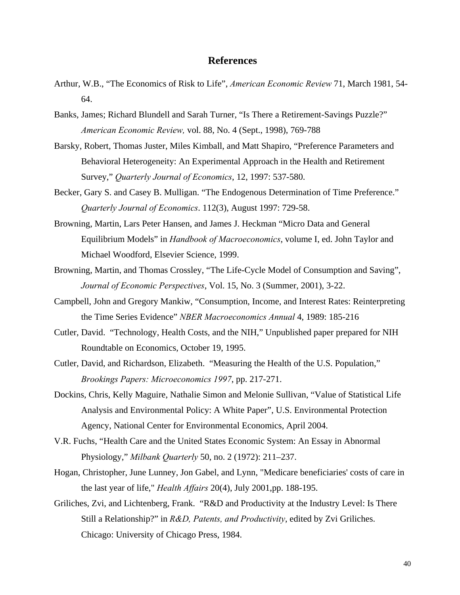#### **References**

- Arthur, W.B., "The Economics of Risk to Life", *American Economic Review* 71, March 1981, 54- 64.
- Banks, James; Richard Blundell and Sarah Turner, "Is There a Retirement-Savings Puzzle?" *American Economic Review,* vol. 88, No. 4 (Sept., 1998), 769-788
- Barsky, Robert, Thomas Juster, Miles Kimball, and Matt Shapiro, "Preference Parameters and Behavioral Heterogeneity: An Experimental Approach in the Health and Retirement Survey," *Quarterly Journal of Economics*, 12, 1997: 537-580.
- Becker, Gary S. and Casey B. Mulligan. "The Endogenous Determination of Time Preference." *Quarterly Journal of Economics*. 112(3), August 1997: 729-58.
- Browning, Martin, Lars Peter Hansen, and James J. Heckman "Micro Data and General Equilibrium Models" in *Handbook of Macroeconomics*, volume I, ed. John Taylor and Michael Woodford, Elsevier Science, 1999.
- Browning, Martin, and Thomas Crossley, "The Life-Cycle Model of Consumption and Saving", *Journal of Economic Perspectives*, Vol. 15, No. 3 (Summer, 2001), 3-22.
- Campbell, John and Gregory Mankiw, "Consumption, Income, and Interest Rates: Reinterpreting the Time Series Evidence" *NBER Macroeconomics Annual* 4, 1989: 185-216
- Cutler, David. "Technology, Health Costs, and the NIH," Unpublished paper prepared for NIH Roundtable on Economics, October 19, 1995.
- Cutler, David, and Richardson, Elizabeth. "Measuring the Health of the U.S. Population," *Brookings Papers: Microeconomics 1997*, pp. 217-271.
- Dockins, Chris, Kelly Maguire, Nathalie Simon and Melonie Sullivan, "Value of Statistical Life Analysis and Environmental Policy: A White Paper", U.S. Environmental Protection Agency, National Center for Environmental Economics, April 2004.
- V.R. Fuchs, "Health Care and the United States Economic System: An Essay in Abnormal Physiology," *Milbank Quarterly* 50, no. 2 (1972): 211–237.
- Hogan, Christopher, June Lunney, Jon Gabel, and Lynn, "Medicare beneficiaries' costs of care in the last year of life," *Health Affairs* 20(4), July 2001,pp. 188-195.
- Griliches, Zvi, and Lichtenberg, Frank. "R&D and Productivity at the Industry Level: Is There Still a Relationship?" in *R&D, Patents, and Productivity*, edited by Zvi Griliches. Chicago: University of Chicago Press, 1984.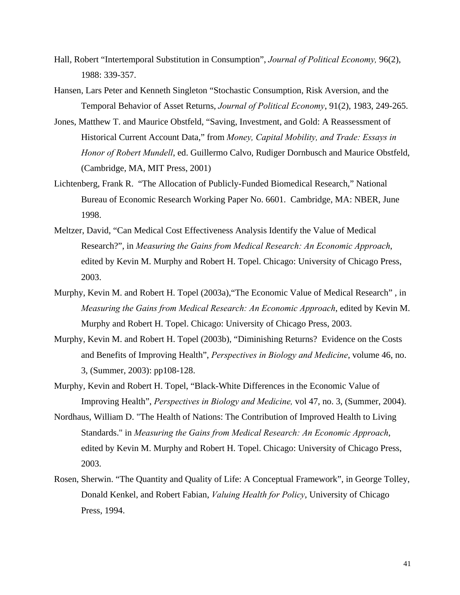- Hall, Robert "Intertemporal Substitution in Consumption", *Journal of Political Economy,* 96(2), 1988: 339-357.
- Hansen, Lars Peter and Kenneth Singleton "Stochastic Consumption, Risk Aversion, and the Temporal Behavior of Asset Returns, *Journal of Political Economy*, 91(2), 1983, 249-265.
- Jones, Matthew T. and Maurice Obstfeld, "Saving, Investment, and Gold: A Reassessment of Historical Current Account Data," from *Money, Capital Mobility, and Trade: Essays in Honor of Robert Mundell*, ed. Guillermo Calvo, Rudiger Dornbusch and Maurice Obstfeld, (Cambridge, MA, MIT Press, 2001)
- Lichtenberg, Frank R. "The Allocation of Publicly-Funded Biomedical Research," National Bureau of Economic Research Working Paper No. 6601. Cambridge, MA: NBER, June 1998.
- Meltzer, David, "Can Medical Cost Effectiveness Analysis Identify the Value of Medical Research?", in *Measuring the Gains from Medical Research: An Economic Approach*, edited by Kevin M. Murphy and Robert H. Topel. Chicago: University of Chicago Press, 2003.
- Murphy, Kevin M. and Robert H. Topel (2003a),"The Economic Value of Medical Research" , in *Measuring the Gains from Medical Research: An Economic Approach*, edited by Kevin M. Murphy and Robert H. Topel. Chicago: University of Chicago Press, 2003.
- Murphy, Kevin M. and Robert H. Topel (2003b), "Diminishing Returns? Evidence on the Costs and Benefits of Improving Health", *Perspectives in Biology and Medicine*, volume 46, no. 3, (Summer, 2003): pp108-128.
- Murphy, Kevin and Robert H. Topel, "Black-White Differences in the Economic Value of Improving Health", *Perspectives in Biology and Medicine,* vol 47, no. 3, (Summer, 2004).
- Nordhaus, William D. "The Health of Nations: The Contribution of Improved Health to Living Standards." in *Measuring the Gains from Medical Research: An Economic Approach*, edited by Kevin M. Murphy and Robert H. Topel. Chicago: University of Chicago Press, 2003.
- Rosen, Sherwin. "The Quantity and Quality of Life: A Conceptual Framework", in George Tolley, Donald Kenkel, and Robert Fabian, *Valuing Health for Policy*, University of Chicago Press, 1994.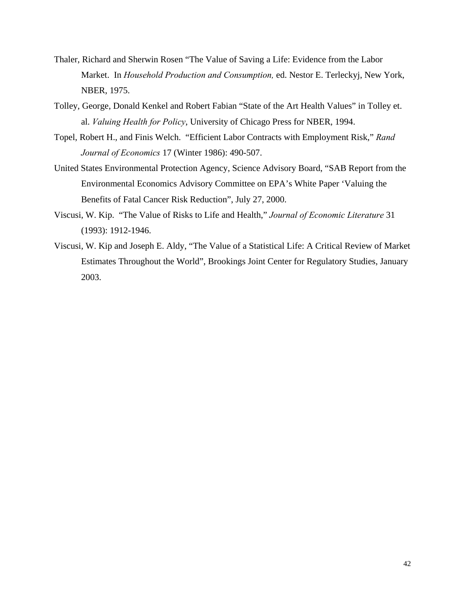- Thaler, Richard and Sherwin Rosen "The Value of Saving a Life: Evidence from the Labor Market. In *Household Production and Consumption,* ed. Nestor E. Terleckyj, New York, NBER, 1975.
- Tolley, George, Donald Kenkel and Robert Fabian "State of the Art Health Values" in Tolley et. al. *Valuing Health for Policy*, University of Chicago Press for NBER, 1994.
- Topel, Robert H., and Finis Welch. "Efficient Labor Contracts with Employment Risk," *Rand Journal of Economics* 17 (Winter 1986): 490-507.
- United States Environmental Protection Agency, Science Advisory Board, "SAB Report from the Environmental Economics Advisory Committee on EPA's White Paper 'Valuing the Benefits of Fatal Cancer Risk Reduction", July 27, 2000.
- Viscusi, W. Kip. "The Value of Risks to Life and Health," *Journal of Economic Literature* 31 (1993): 1912-1946.
- Viscusi, W. Kip and Joseph E. Aldy, "The Value of a Statistical Life: A Critical Review of Market Estimates Throughout the World", Brookings Joint Center for Regulatory Studies, January 2003.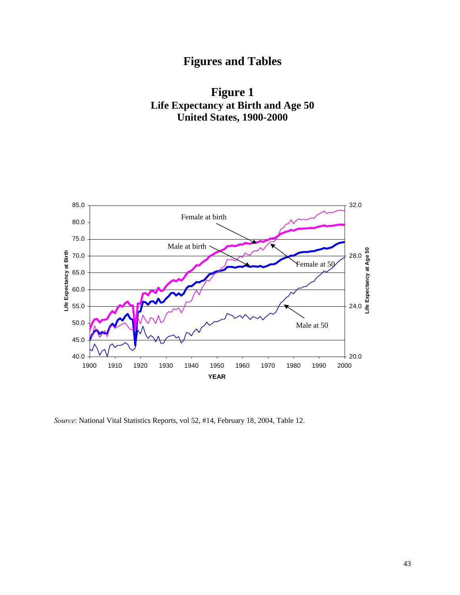# **Figures and Tables**





*Source*: National Vital Statistics Reports, vol 52, #14, February 18, 2004, Table 12.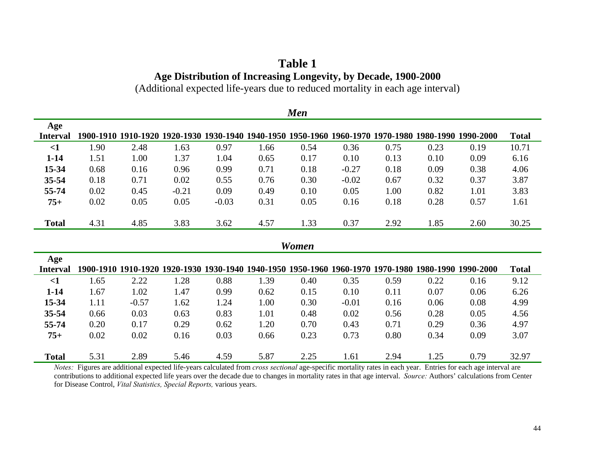## **Table 1 Age Distribution of Increasing Longevity, by Decade, 1900-2000**

(Additional expected life-years due to reduced mortality in each age interval)

| <b>Men</b>      |      |         |                                                                                                     |         |      |       |         |      |      |      |              |
|-----------------|------|---------|-----------------------------------------------------------------------------------------------------|---------|------|-------|---------|------|------|------|--------------|
| Age             |      |         |                                                                                                     |         |      |       |         |      |      |      |              |
| <b>Interval</b> |      |         | 1900-1910 1910-1920 1920-1930 1930-1940 1940-1950 1950-1960 1960-1970 1970-1980 1980-1990 1990-2000 |         |      |       |         |      |      |      | <b>Total</b> |
| $\leq$ 1        | 1.90 | 2.48    | 1.63                                                                                                | 0.97    | 1.66 | 0.54  | 0.36    | 0.75 | 0.23 | 0.19 | 10.71        |
| $1 - 14$        | 1.51 | 1.00    | 1.37                                                                                                | 1.04    | 0.65 | 0.17  | 0.10    | 0.13 | 0.10 | 0.09 | 6.16         |
| 15-34           | 0.68 | 0.16    | 0.96                                                                                                | 0.99    | 0.71 | 0.18  | $-0.27$ | 0.18 | 0.09 | 0.38 | 4.06         |
| $35 - 54$       | 0.18 | 0.71    | 0.02                                                                                                | 0.55    | 0.76 | 0.30  | $-0.02$ | 0.67 | 0.32 | 0.37 | 3.87         |
| 55-74           | 0.02 | 0.45    | $-0.21$                                                                                             | 0.09    | 0.49 | 0.10  | 0.05    | 1.00 | 0.82 | 1.01 | 3.83         |
| $75+$           | 0.02 | 0.05    | 0.05                                                                                                | $-0.03$ | 0.31 | 0.05  | 0.16    | 0.18 | 0.28 | 0.57 | 1.61         |
|                 |      |         |                                                                                                     |         |      |       |         |      |      |      |              |
| <b>Total</b>    | 4.31 | 4.85    | 3.83                                                                                                | 3.62    | 4.57 | 1.33  | 0.37    | 2.92 | 1.85 | 2.60 | 30.25        |
|                 |      |         |                                                                                                     |         |      |       |         |      |      |      |              |
|                 |      |         |                                                                                                     |         |      | Women |         |      |      |      |              |
| Age             |      |         |                                                                                                     |         |      |       |         |      |      |      |              |
| <b>Interval</b> |      |         | 1900-1910 1910-1920 1920-1930 1930-1940 1940-1950 1950-1960 1960-1970 1970-1980 1980-1990 1990-2000 |         |      |       |         |      |      |      | <b>Total</b> |
| $\leq$ 1        | 1.65 | 2.22    | 1.28                                                                                                | 0.88    | 1.39 | 0.40  | 0.35    | 0.59 | 0.22 | 0.16 | 9.12         |
| $1 - 14$        | 1.67 | 1.02    | 1.47                                                                                                | 0.99    | 0.62 | 0.15  | 0.10    | 0.11 | 0.07 | 0.06 | 6.26         |
| 15-34           | 1.11 | $-0.57$ | 1.62                                                                                                | 1.24    | 1.00 | 0.30  | $-0.01$ | 0.16 | 0.06 | 0.08 | 4.99         |
| $35 - 54$       | 0.66 | 0.03    | 0.63                                                                                                | 0.83    | 1.01 | 0.48  | 0.02    | 0.56 | 0.28 | 0.05 | 4.56         |
| 55-74           | 0.20 | 0.17    | 0.29                                                                                                | 0.62    | 1.20 | 0.70  | 0.43    | 0.71 | 0.29 | 0.36 | 4.97         |
| $75+$           | 0.02 | 0.02    | 0.16                                                                                                | 0.03    | 0.66 | 0.23  | 0.73    | 0.80 | 0.34 | 0.09 | 3.07         |
|                 |      |         |                                                                                                     |         |      |       |         |      |      |      |              |
| <b>Total</b>    | 5.31 | 2.89    | 5.46                                                                                                | 4.59    | 5.87 | 2.25  | 1.61    | 2.94 | 1.25 | 0.79 | 32.97        |

*Notes:* Figures are additional expected life-years calculated from *cross sectional* age-specific mortality rates in each year. Entries for each age interval are contributions to additional expected life years over the decade due to changes in mortality rates in that age interval. *Source:* Authors' calculations from Center for Disease Control, *Vital Statistics, Special Reports,* various years.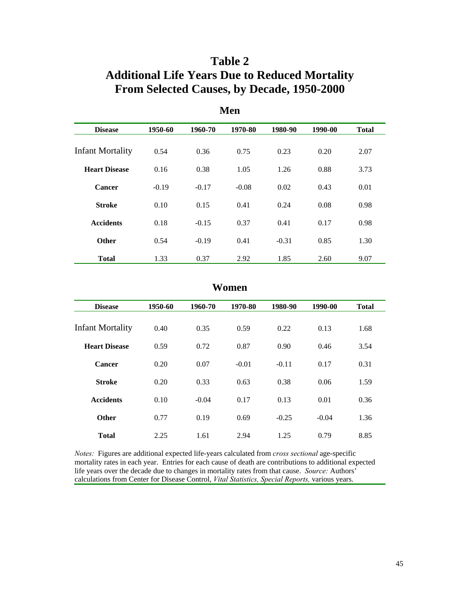## **Table 2 Additional Life Years Due to Reduced Mortality From Selected Causes, by Decade, 1950-2000**

| <b>Disease</b>          | 1950-60 | 1960-70 | 1970-80 | 1980-90 | 1990-00 | <b>Total</b> |
|-------------------------|---------|---------|---------|---------|---------|--------------|
|                         |         |         |         |         |         |              |
| <b>Infant Mortality</b> | 0.54    | 0.36    | 0.75    | 0.23    | 0.20    | 2.07         |
| <b>Heart Disease</b>    | 0.16    | 0.38    | 1.05    | 1.26    | 0.88    | 3.73         |
| Cancer                  | $-0.19$ | $-0.17$ | $-0.08$ | 0.02    | 0.43    | 0.01         |
| <b>Stroke</b>           | 0.10    | 0.15    | 0.41    | 0.24    | 0.08    | 0.98         |
| <b>Accidents</b>        | 0.18    | $-0.15$ | 0.37    | 0.41    | 0.17    | 0.98         |
| <b>Other</b>            | 0.54    | $-0.19$ | 0.41    | $-0.31$ | 0.85    | 1.30         |
| <b>Total</b>            | 1.33    | 0.37    | 2.92    | 1.85    | 2.60    | 9.07         |

**Men** 

#### **Women**

| <b>Disease</b>          | 1950-60 | 1960-70 | 1970-80 | 1980-90 | 1990-00 | <b>Total</b> |
|-------------------------|---------|---------|---------|---------|---------|--------------|
| <b>Infant Mortality</b> | 0.40    | 0.35    | 0.59    | 0.22    | 0.13    | 1.68         |
| <b>Heart Disease</b>    | 0.59    | 0.72    | 0.87    | 0.90    | 0.46    | 3.54         |
| Cancer                  | 0.20    | 0.07    | $-0.01$ | $-0.11$ | 0.17    | 0.31         |
| <b>Stroke</b>           | 0.20    | 0.33    | 0.63    | 0.38    | 0.06    | 1.59         |
| <b>Accidents</b>        | 0.10    | $-0.04$ | 0.17    | 0.13    | 0.01    | 0.36         |
| <b>Other</b>            | 0.77    | 0.19    | 0.69    | $-0.25$ | $-0.04$ | 1.36         |
| <b>Total</b>            | 2.25    | 1.61    | 2.94    | 1.25    | 0.79    | 8.85         |

*Notes:* Figures are additional expected life-years calculated from *cross sectional* age-specific mortality rates in each year. Entries for each cause of death are contributions to additional expected life years over the decade due to changes in mortality rates from that cause. *Source:* Authors' calculations from Center for Disease Control, *Vital Statistics, Special Reports,* various years.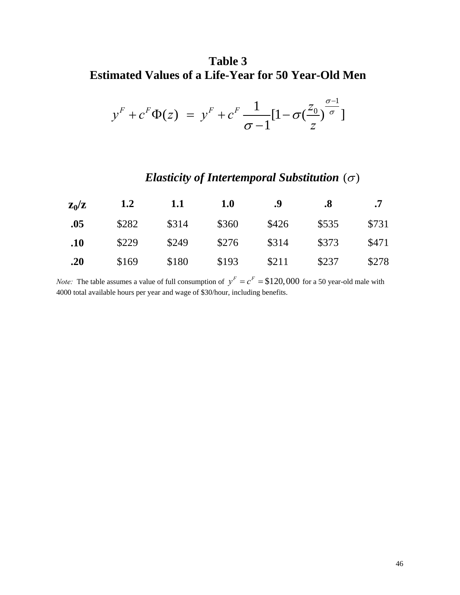## **Table 3 Estimated Values of a Life-Year for 50 Year-Old Men**

$$
y^{F} + c^{F} \Phi(z) = y^{F} + c^{F} \frac{1}{\sigma - 1} [1 - \sigma \left(\frac{z_{0}}{z}\right)^{\frac{\sigma - 1}{\sigma}}]
$$

## *Elasticity of Intertemporal Substitution* (σ)

| $\mathbf{Z}_0/\mathbf{Z}$ | 1.2   | 1.1   | ${\bf 1.0}$ | .9    | .8    |       |
|---------------------------|-------|-------|-------------|-------|-------|-------|
| .05                       | \$282 | \$314 | \$360       | \$426 | \$535 | \$731 |
| .10                       | \$229 | \$249 | \$276       | \$314 | \$373 | \$471 |
| .20                       | \$169 | \$180 | \$193       | \$211 | \$237 | \$278 |

*Note:* The table assumes a value of full consumption of  $y^F = c^F = $120,000$  for a 50 year-old male with 4000 total available hours per year and wage of \$30/hour, including benefits.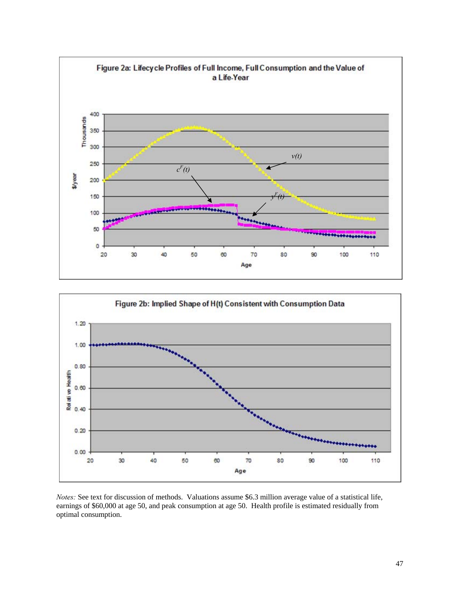



*Notes:* See text for discussion of methods. Valuations assume \$6.3 million average value of a statistical life, earnings of \$60,000 at age 50, and peak consumption at age 50. Health profile is estimated residually from optimal consumption.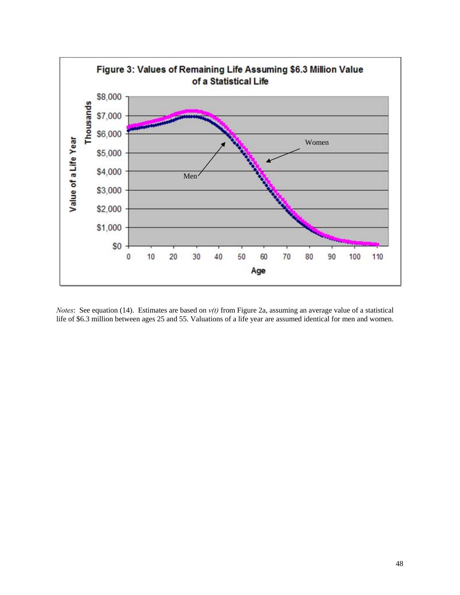

*Notes*: See equation (14). Estimates are based on *v(t)* from Figure 2a, assuming an average value of a statistical life of \$6.3 million between ages 25 and 55. Valuations of a life year are assumed identical for men and women.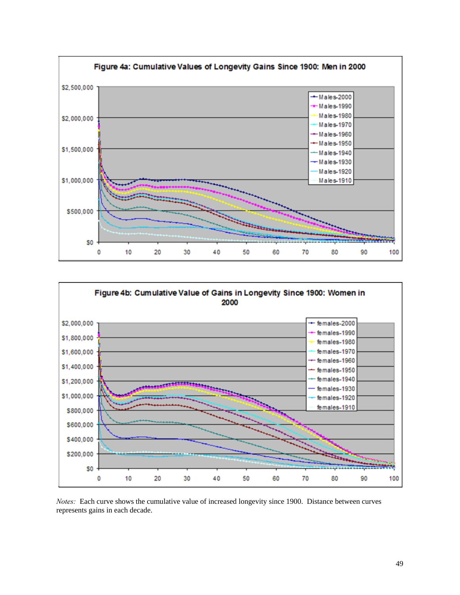



*Notes:* Each curve shows the cumulative value of increased longevity since 1900. Distance between curves represents gains in each decade.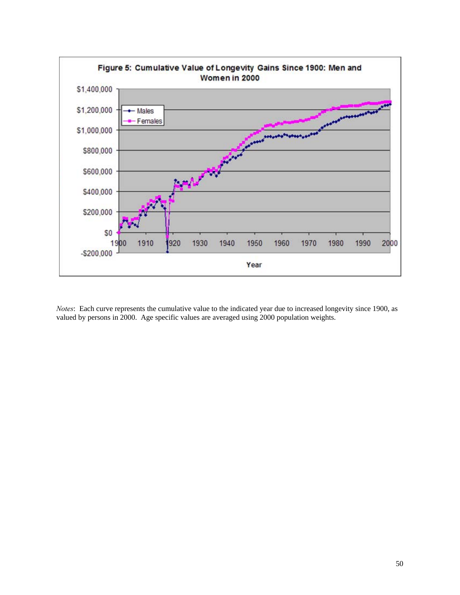

*Notes*: Each curve represents the cumulative value to the indicated year due to increased longevity since 1900, as valued by persons in 2000. Age specific values are averaged using 2000 population weights.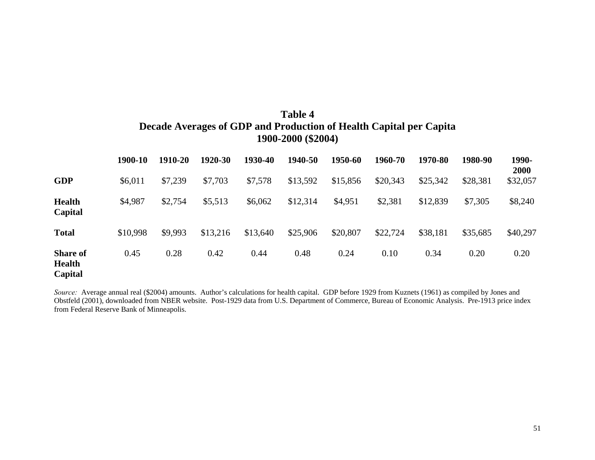## **Table 4 Decade Averages of GDP and Production of Health Capital per Capita 1900-2000 (\$2004)**

|                                             | 1900-10  | 1910-20 | 1920-30  | 1930-40  | 1940-50  | 1950-60  | 1960-70  | 1970-80  | 1980-90  | 1990-<br>2000 |
|---------------------------------------------|----------|---------|----------|----------|----------|----------|----------|----------|----------|---------------|
| <b>GDP</b>                                  | \$6,011  | \$7,239 | \$7,703  | \$7,578  | \$13,592 | \$15,856 | \$20,343 | \$25,342 | \$28,381 | \$32,057      |
| <b>Health</b><br>Capital                    | \$4,987  | \$2,754 | \$5,513  | \$6,062  | \$12,314 | \$4,951  | \$2,381  | \$12,839 | \$7,305  | \$8,240       |
| <b>Total</b>                                | \$10,998 | \$9,993 | \$13,216 | \$13,640 | \$25,906 | \$20,807 | \$22,724 | \$38,181 | \$35,685 | \$40,297      |
| <b>Share of</b><br><b>Health</b><br>Capital | 0.45     | 0.28    | 0.42     | 0.44     | 0.48     | 0.24     | 0.10     | 0.34     | 0.20     | 0.20          |

*Source:* Average annual real (\$2004) amounts. Author's calculations for health capital. GDP before 1929 from Kuznets (1961) as compiled by Jones and Obstfeld (2001), downloaded from NBER website. Post-1929 data from U.S. Department of Commerce, Bureau of Economic Analysis. Pre-1913 price index from Federal Reserve Bank of Minneapolis.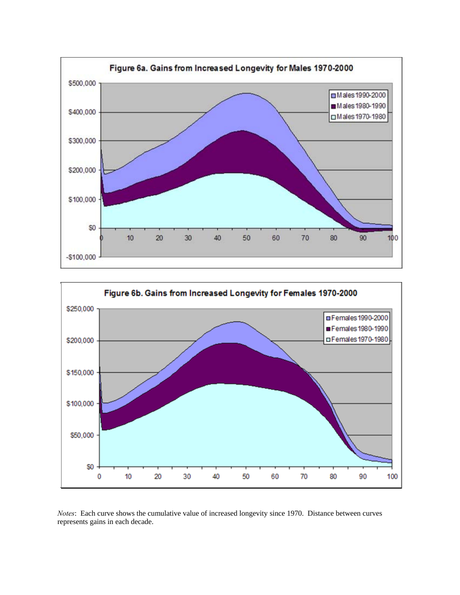



*Notes*: Each curve shows the cumulative value of increased longevity since 1970. Distance between curves represents gains in each decade.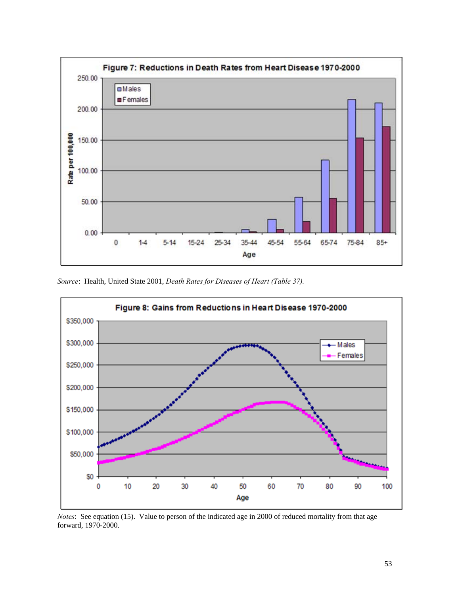

*Source*: Health, United State 2001, *Death Rates for Diseases of Heart (Table 37).* 



*Notes*: See equation (15). Value to person of the indicated age in 2000 of reduced mortality from that age forward, 1970-2000.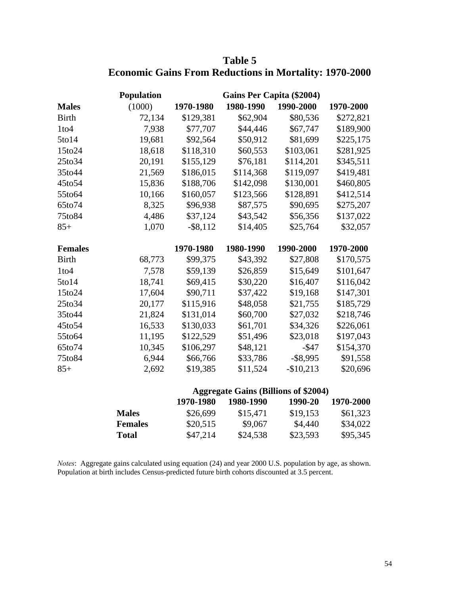|                | <b>Population</b> |             | Gains Per Capita (\$2004)                   |             |           |
|----------------|-------------------|-------------|---------------------------------------------|-------------|-----------|
| <b>Males</b>   | (1000)            | 1970-1980   | 1980-1990                                   | 1990-2000   | 1970-2000 |
| <b>Birth</b>   | 72,134            | \$129,381   | \$62,904                                    | \$80,536    | \$272,821 |
| $1$ to $4$     | 7,938             | \$77,707    | \$44,446                                    | \$67,747    | \$189,900 |
| $5$ to $14$    | 19,681            | \$92,564    | \$50,912                                    | \$81,699    | \$225,175 |
| 15to24         | 18,618            | \$118,310   | \$60,553                                    | \$103,061   | \$281,925 |
| 25to34         | 20,191            | \$155,129   | \$76,181                                    | \$114,201   | \$345,511 |
| 35to44         | 21,569            | \$186,015   | \$114,368                                   | \$119,097   | \$419,481 |
| 45to54         | 15,836            | \$188,706   | \$142,098                                   | \$130,001   | \$460,805 |
| 55to64         | 10,166            | \$160,057   | \$123,566                                   | \$128,891   | \$412,514 |
| 65to74         | 8,325             | \$96,938    | \$87,575                                    | \$90,695    | \$275,207 |
| 75to84         | 4,486             | \$37,124    | \$43,542                                    | \$56,356    | \$137,022 |
| $85+$          | 1,070             | $-$ \$8,112 | \$14,405                                    | \$25,764    | \$32,057  |
|                |                   |             |                                             |             |           |
| <b>Females</b> |                   | 1970-1980   | 1980-1990                                   | 1990-2000   | 1970-2000 |
| <b>Birth</b>   | 68,773            | \$99,375    | \$43,392                                    | \$27,808    | \$170,575 |
| $1$ to $4$     | 7,578             | \$59,139    | \$26,859                                    | \$15,649    | \$101,647 |
| $5$ to $14$    | 18,741            | \$69,415    | \$30,220                                    | \$16,407    | \$116,042 |
| 15to24         | 17,604            | \$90,711    | \$37,422                                    | \$19,168    | \$147,301 |
| 25to34         | 20,177            | \$115,916   | \$48,058                                    | \$21,755    | \$185,729 |
| 35to44         | 21,824            | \$131,014   | \$60,700                                    | \$27,032    | \$218,746 |
| 45to54         | 16,533            | \$130,033   | \$61,701                                    | \$34,326    | \$226,061 |
| 55to64         | 11,195            | \$122,529   | \$51,496                                    | \$23,018    | \$197,043 |
| 65to74         | 10,345            | \$106,297   | \$48,121                                    | $-$ \$47    | \$154,370 |
| 75to84         | 6,944             | \$66,766    | \$33,786                                    | $-$ \$8,995 | \$91,558  |
| $85+$          | 2,692             | \$19,385    | \$11,524                                    | $-$10,213$  | \$20,696  |
|                |                   |             |                                             |             |           |
|                |                   |             | <b>Aggregate Gains (Billions of \$2004)</b> |             |           |
|                |                   | 1970-1980   | 1980-1990                                   | 1990-20     | 1970-2000 |
|                | <b>Males</b>      | \$26,699    | \$15,471                                    | \$19,153    | \$61,323  |
|                | <b>Females</b>    | \$20,515    | \$9,067                                     | \$4,440     | \$34,022  |
|                | <b>Total</b>      | \$47,214    | \$24,538                                    | \$23,593    | \$95,345  |

## **Table 5 Economic Gains From Reductions in Mortality: 1970-2000**

*Notes*: Aggregate gains calculated using equation (24) and year 2000 U.S. population by age, as shown. Population at birth includes Census-predicted future birth cohorts discounted at 3.5 percent.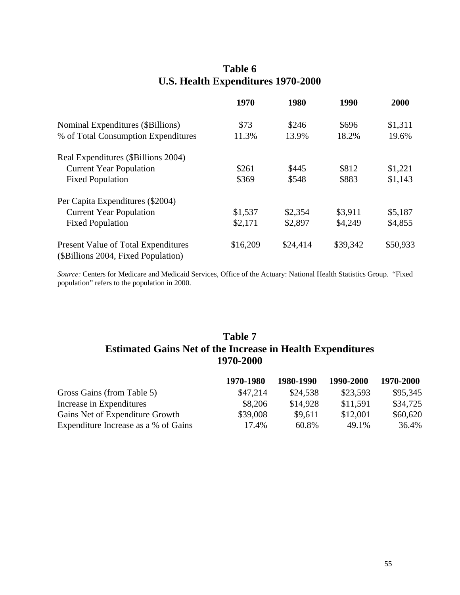## **Table 6 U.S. Health Expenditures 1970-2000**

|                                                                            | 1970     | 1980     | 1990     | 2000     |
|----------------------------------------------------------------------------|----------|----------|----------|----------|
| Nominal Expenditures (\$Billions)                                          | \$73     | \$246    | \$696    | \$1,311  |
| % of Total Consumption Expenditures                                        | 11.3%    | 13.9%    | 18.2%    | 19.6%    |
| Real Expenditures (\$Billions 2004)                                        |          |          |          |          |
| <b>Current Year Population</b>                                             | \$261    | \$445    | \$812    | \$1,221  |
| <b>Fixed Population</b>                                                    | \$369    | \$548    | \$883    | \$1,143  |
| Per Capita Expenditures (\$2004)                                           |          |          |          |          |
| <b>Current Year Population</b>                                             | \$1,537  | \$2,354  | \$3,911  | \$5,187  |
| <b>Fixed Population</b>                                                    | \$2,171  | \$2,897  | \$4,249  | \$4,855  |
| Present Value of Total Expenditures<br>(\$Billions 2004, Fixed Population) | \$16,209 | \$24,414 | \$39,342 | \$50,933 |

*Source:* Centers for Medicare and Medicaid Services, Office of the Actuary: National Health Statistics Group. "Fixed population" refers to the population in 2000.

## **Table 7 Estimated Gains Net of the Increase in Health Expenditures 1970-2000**

|                                      | 1970-1980 | 1980-1990 | 1990-2000 | 1970-2000 |
|--------------------------------------|-----------|-----------|-----------|-----------|
| Gross Gains (from Table 5)           | \$47.214  | \$24.538  | \$23,593  | \$95,345  |
| Increase in Expenditures             | \$8,206   | \$14,928  | \$11,591  | \$34,725  |
| Gains Net of Expenditure Growth      | \$39,008  | \$9,611   | \$12,001  | \$60,620  |
| Expenditure Increase as a % of Gains | 17.4%     | 60.8%     | 49.1%     | 36.4%     |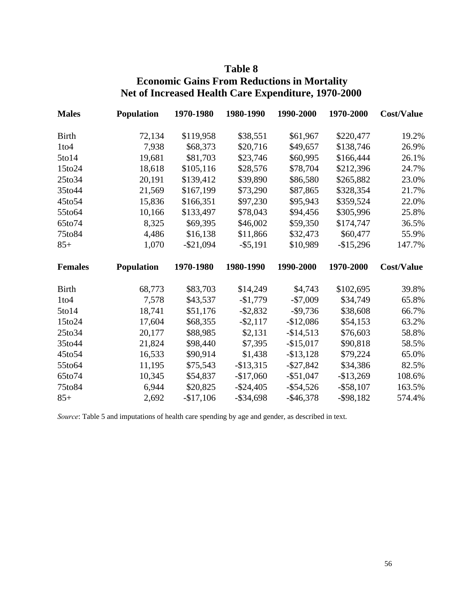## **Table 8**

## **Economic Gains From Reductions in Mortality Net of Increased Health Care Expenditure, 1970-2000**

| <b>Males</b>   | <b>Population</b> | 1970-1980    | 1980-1990    | 1990-2000    | 1970-2000    | <b>Cost/Value</b> |
|----------------|-------------------|--------------|--------------|--------------|--------------|-------------------|
| <b>Birth</b>   | 72,134            | \$119,958    | \$38,551     | \$61,967     | \$220,477    | 19.2%             |
| $1$ to $4$     | 7,938             | \$68,373     | \$20,716     | \$49,657     | \$138,746    | 26.9%             |
| 5to14          | 19,681            | \$81,703     | \$23,746     | \$60,995     | \$166,444    | 26.1%             |
| 15to24         | 18,618            | \$105,116    | \$28,576     | \$78,704     | \$212,396    | 24.7%             |
| 25to34         | 20,191            | \$139,412    | \$39,890     | \$86,580     | \$265,882    | 23.0%             |
| 35to44         | 21,569            | \$167,199    | \$73,290     | \$87,865     | \$328,354    | 21.7%             |
| 45to54         | 15,836            | \$166,351    | \$97,230     | \$95,943     | \$359,524    | 22.0%             |
| 55to64         | 10,166            | \$133,497    | \$78,043     | \$94,456     | \$305,996    | 25.8%             |
| 65to74         | 8,325             | \$69,395     | \$46,002     | \$59,350     | \$174,747    | 36.5%             |
| 75to84         | 4,486             | \$16,138     | \$11,866     | \$32,473     | \$60,477     | 55.9%             |
| $85+$          | 1,070             | $-$ \$21,094 | $-$ \$5,191  | \$10,989     | $-$15,296$   | 147.7%            |
|                |                   |              |              |              |              |                   |
| <b>Females</b> | <b>Population</b> | 1970-1980    | 1980-1990    | 1990-2000    | 1970-2000    | <b>Cost/Value</b> |
| <b>Birth</b>   | 68,773            | \$83,703     | \$14,249     | \$4,743      | \$102,695    | 39.8%             |
| $1$ to $4$     | 7,578             | \$43,537     | $-$1,779$    | $-$7,009$    | \$34,749     | 65.8%             |
| $5$ to $14$    | 18,741            | \$51,176     | $-$ \$2,832  | $-$ \$9,736  | \$38,608     | 66.7%             |
| 15to24         | 17,604            | \$68,355     | $-$ \$2,117  | $-$12,086$   | \$54,153     | 63.2%             |
| 25to34         | 20,177            | \$88,985     | \$2,131      | $-$14,513$   | \$76,603     | 58.8%             |
| 35to44         | 21,824            | \$98,440     | \$7,395      | $-$ \$15,017 | \$90,818     | 58.5%             |
| 45to54         | 16,533            | \$90,914     | \$1,438      | $-$ \$13,128 | \$79,224     | 65.0%             |
| 55to64         | 11,195            | \$75,543     | $-$ \$13,315 | $-$ \$27,842 | \$34,386     | 82.5%             |
| 65to74         | 10,345            | \$54,837     | $-$17,060$   | $-$ \$51,047 | $-$13,269$   | 108.6%            |
| 75to84         | 6,944             | \$20,825     | $-$ \$24,405 | $-$ \$54,526 | $-$ \$58,107 | 163.5%            |

*Source*: Table 5 and imputations of health care spending by age and gender, as described in text.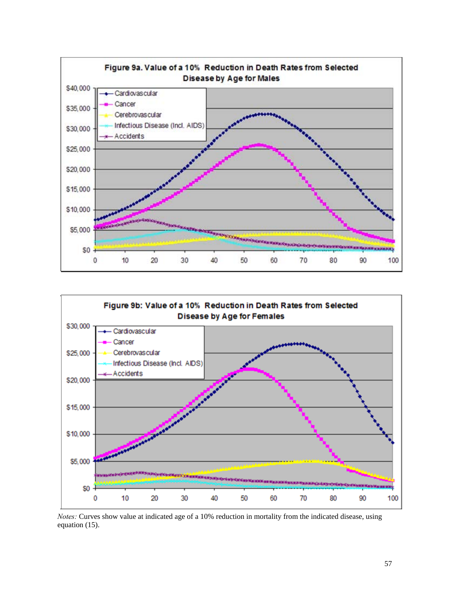



*Notes:* Curves show value at indicated age of a 10% reduction in mortality from the indicated disease, using equation (15).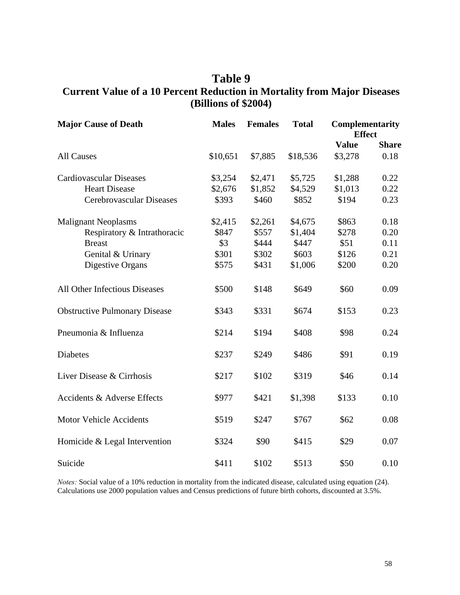## **Table 9 Current Value of a 10 Percent Reduction in Mortality from Major Diseases (Billions of \$2004)**

| <b>Major Cause of Death</b>            | <b>Males</b> | <b>Females</b> | <b>Total</b> | <b>Complementarity</b><br><b>Effect</b> |              |
|----------------------------------------|--------------|----------------|--------------|-----------------------------------------|--------------|
|                                        |              |                |              | <b>Value</b>                            | <b>Share</b> |
| <b>All Causes</b>                      | \$10,651     | \$7,885        | \$18,536     | \$3,278                                 | 0.18         |
| <b>Cardiovascular Diseases</b>         | \$3,254      | \$2,471        | \$5,725      | \$1,288                                 | 0.22         |
| <b>Heart Disease</b>                   | \$2,676      | \$1,852        | \$4,529      | \$1,013                                 | 0.22         |
| Cerebrovascular Diseases               | \$393        | \$460          | \$852        | \$194                                   | 0.23         |
| <b>Malignant Neoplasms</b>             | \$2,415      | \$2,261        | \$4,675      | \$863                                   | 0.18         |
| Respiratory & Intrathoracic            | \$847        | \$557          | \$1,404      | \$278                                   | 0.20         |
| <b>Breast</b>                          | \$3          | \$444          | \$447        | \$51                                    | 0.11         |
| Genital & Urinary                      | \$301        | \$302          | \$603        | \$126                                   | 0.21         |
| Digestive Organs                       | \$575        | \$431          | \$1,006      | \$200                                   | 0.20         |
| All Other Infectious Diseases          | \$500        | \$148          | \$649        | \$60                                    | 0.09         |
| <b>Obstructive Pulmonary Disease</b>   | \$343        | \$331          | \$674        | \$153                                   | 0.23         |
| Pneumonia & Influenza                  | \$214        | \$194          | \$408        | \$98                                    | 0.24         |
| <b>Diabetes</b>                        | \$237        | \$249          | \$486        | \$91                                    | 0.19         |
| Liver Disease & Cirrhosis              | \$217        | \$102          | \$319        | \$46                                    | 0.14         |
| <b>Accidents &amp; Adverse Effects</b> | \$977        | \$421          | \$1,398      | \$133                                   | 0.10         |
| <b>Motor Vehicle Accidents</b>         | \$519        | \$247          | \$767        | \$62                                    | 0.08         |
| Homicide & Legal Intervention          | \$324        | \$90           | \$415        | \$29                                    | 0.07         |
| Suicide                                | \$411        | \$102          | \$513        | \$50                                    | 0.10         |

*Notes:* Social value of a 10% reduction in mortality from the indicated disease, calculated using equation (24). Calculations use 2000 population values and Census predictions of future birth cohorts, discounted at 3.5%.